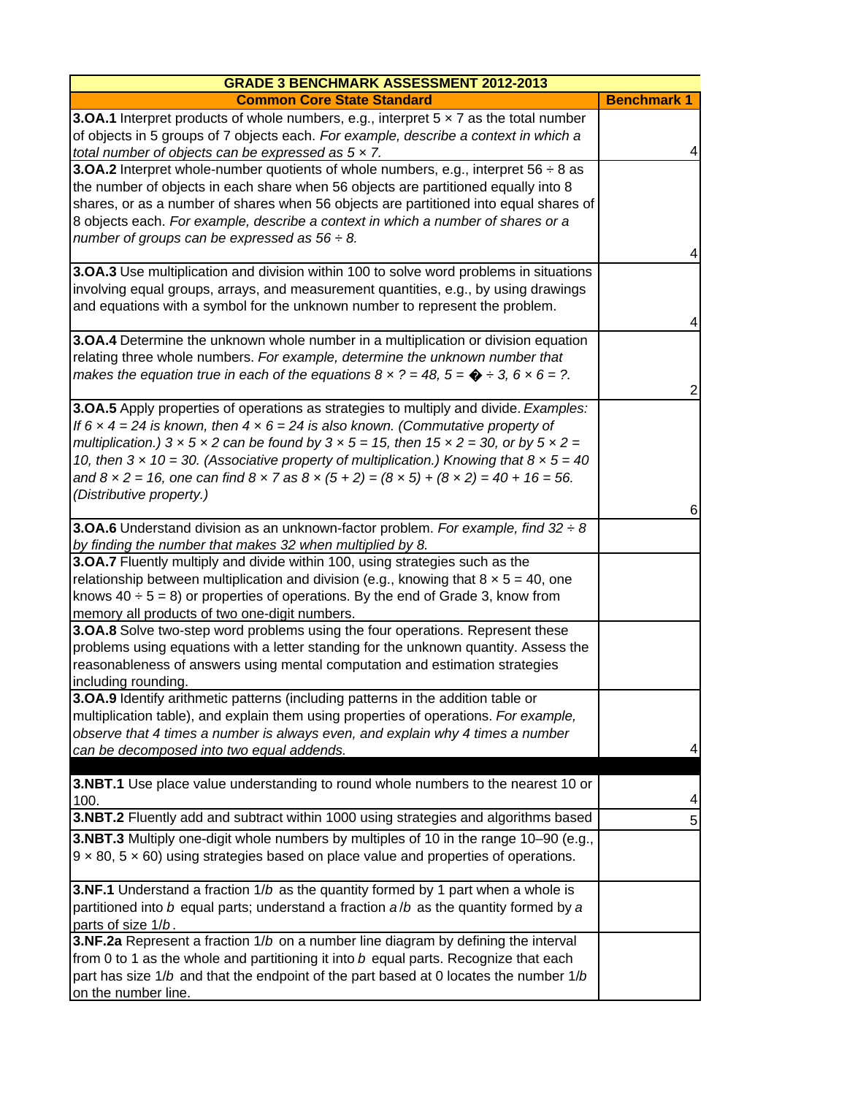| <b>GRADE 3 BENCHMARK ASSESSMENT 2012-2013</b>                                                                                                                                                                                                                                                                                                                                                                                                                                                                                                                                              |                    |
|--------------------------------------------------------------------------------------------------------------------------------------------------------------------------------------------------------------------------------------------------------------------------------------------------------------------------------------------------------------------------------------------------------------------------------------------------------------------------------------------------------------------------------------------------------------------------------------------|--------------------|
| <b>Common Core State Standard</b>                                                                                                                                                                                                                                                                                                                                                                                                                                                                                                                                                          | <b>Benchmark 1</b> |
| <b>3.OA.1</b> Interpret products of whole numbers, e.g., interpret $5 \times 7$ as the total number<br>of objects in 5 groups of 7 objects each. For example, describe a context in which a<br>total number of objects can be expressed as $5 \times 7$ .                                                                                                                                                                                                                                                                                                                                  | 4                  |
| <b>3.OA.2</b> Interpret whole-number quotients of whole numbers, e.g., interpret 56 $\div$ 8 as<br>the number of objects in each share when 56 objects are partitioned equally into 8<br>shares, or as a number of shares when 56 objects are partitioned into equal shares of<br>8 objects each. For example, describe a context in which a number of shares or a<br>number of groups can be expressed as $56 \div 8$ .                                                                                                                                                                   | 4                  |
| 3.OA.3 Use multiplication and division within 100 to solve word problems in situations<br>involving equal groups, arrays, and measurement quantities, e.g., by using drawings<br>and equations with a symbol for the unknown number to represent the problem.                                                                                                                                                                                                                                                                                                                              | 4                  |
| 3.OA.4 Determine the unknown whole number in a multiplication or division equation<br>relating three whole numbers. For example, determine the unknown number that<br>makes the equation true in each of the equations $8 \times ? = 48$ , $5 = \bigcirc \div 3$ , $6 \times 6 = ?$ .                                                                                                                                                                                                                                                                                                      | 2                  |
| <b>3.OA.5</b> Apply properties of operations as strategies to multiply and divide. Examples:<br>If 6 $\times$ 4 = 24 is known, then 4 $\times$ 6 = 24 is also known. (Commutative property of<br>multiplication.) $3 \times 5 \times 2$ can be found by $3 \times 5 = 15$ , then $15 \times 2 = 30$ , or by $5 \times 2 =$<br>10, then $3 \times 10 = 30$ . (Associative property of multiplication.) Knowing that $8 \times 5 = 40$<br>and $8 \times 2 = 16$ , one can find $8 \times 7$ as $8 \times (5 + 2) = (8 \times 5) + (8 \times 2) = 40 + 16 = 56$ .<br>(Distributive property.) | 6                  |
| <b>3.OA.6</b> Understand division as an unknown-factor problem. For example, find $32 \div 8$<br>by finding the number that makes 32 when multiplied by 8.                                                                                                                                                                                                                                                                                                                                                                                                                                 |                    |
| 3.OA.7 Fluently multiply and divide within 100, using strategies such as the<br>relationship between multiplication and division (e.g., knowing that $8 \times 5 = 40$ , one<br>knows $40 \div 5 = 8$ ) or properties of operations. By the end of Grade 3, know from<br>memory all products of two one-digit numbers.                                                                                                                                                                                                                                                                     |                    |
| 3.OA.8 Solve two-step word problems using the four operations. Represent these<br>problems using equations with a letter standing for the unknown quantity. Assess the<br>reasonableness of answers using mental computation and estimation strategies<br>including rounding.                                                                                                                                                                                                                                                                                                              |                    |
| <b>3.OA.9</b> Identify arithmetic patterns (including patterns in the addition table or<br>multiplication table), and explain them using properties of operations. For example,<br>observe that 4 times a number is always even, and explain why 4 times a number<br>can be decomposed into two equal addends.                                                                                                                                                                                                                                                                             | 4                  |
| <b>3.NBT.1</b> Use place value understanding to round whole numbers to the nearest 10 or<br>100.                                                                                                                                                                                                                                                                                                                                                                                                                                                                                           |                    |
| 3.NBT.2 Fluently add and subtract within 1000 using strategies and algorithms based                                                                                                                                                                                                                                                                                                                                                                                                                                                                                                        | 5                  |
| 3.NBT.3 Multiply one-digit whole numbers by multiples of 10 in the range 10–90 (e.g.,<br>$9 \times 80$ , $5 \times 60$ ) using strategies based on place value and properties of operations.                                                                                                                                                                                                                                                                                                                                                                                               |                    |
| <b>3.NF.1</b> Understand a fraction $1/b$ as the quantity formed by 1 part when a whole is<br>partitioned into b equal parts; understand a fraction $a/b$ as the quantity formed by a<br>parts of size 1/b.                                                                                                                                                                                                                                                                                                                                                                                |                    |
| 3.NF.2a Represent a fraction 1/b on a number line diagram by defining the interval<br>from 0 to 1 as the whole and partitioning it into b equal parts. Recognize that each<br>part has size 1/b and that the endpoint of the part based at 0 locates the number 1/b<br>on the number line.                                                                                                                                                                                                                                                                                                 |                    |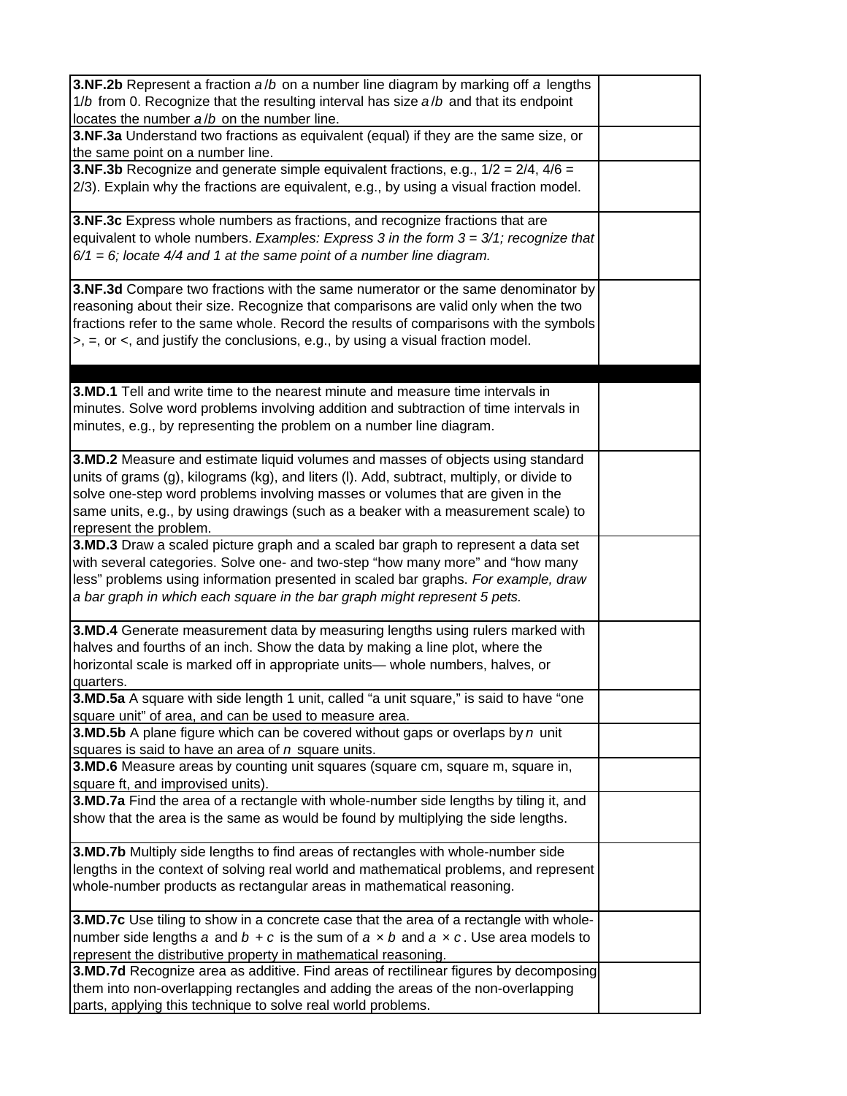| 3.NF.2b Represent a fraction a/b on a number line diagram by marking off a lengths<br>1/b from 0. Recognize that the resulting interval has size a/b and that its endpoint<br>locates the number a/b on the number line.                                                                                                                                                       |  |
|--------------------------------------------------------------------------------------------------------------------------------------------------------------------------------------------------------------------------------------------------------------------------------------------------------------------------------------------------------------------------------|--|
| 3.NF.3a Understand two fractions as equivalent (equal) if they are the same size, or<br>the same point on a number line.                                                                                                                                                                                                                                                       |  |
| <b>3.NF.3b</b> Recognize and generate simple equivalent fractions, e.g., $1/2 = 2/4$ , $4/6 = 1/2$<br>2/3). Explain why the fractions are equivalent, e.g., by using a visual fraction model.                                                                                                                                                                                  |  |
| 3.NF.3c Express whole numbers as fractions, and recognize fractions that are<br>equivalent to whole numbers. Examples: Express 3 in the form 3 = 3/1; recognize that<br>$6/1 = 6$ ; locate 4/4 and 1 at the same point of a number line diagram.                                                                                                                               |  |
| 3.NF.3d Compare two fractions with the same numerator or the same denominator by<br>reasoning about their size. Recognize that comparisons are valid only when the two<br>fractions refer to the same whole. Record the results of comparisons with the symbols<br>$\ge$ , $\equiv$ , or $\lt$ , and justify the conclusions, e.g., by using a visual fraction model.          |  |
| <b>3.MD.1</b> Tell and write time to the nearest minute and measure time intervals in<br>minutes. Solve word problems involving addition and subtraction of time intervals in<br>minutes, e.g., by representing the problem on a number line diagram.                                                                                                                          |  |
| 3.MD.2 Measure and estimate liquid volumes and masses of objects using standard<br>units of grams (g), kilograms (kg), and liters (I). Add, subtract, multiply, or divide to<br>solve one-step word problems involving masses or volumes that are given in the<br>same units, e.g., by using drawings (such as a beaker with a measurement scale) to<br>represent the problem. |  |
| 3.MD.3 Draw a scaled picture graph and a scaled bar graph to represent a data set<br>with several categories. Solve one- and two-step "how many more" and "how many<br>less" problems using information presented in scaled bar graphs. For example, draw<br>a bar graph in which each square in the bar graph might represent 5 pets.                                         |  |
| 3.MD.4 Generate measurement data by measuring lengths using rulers marked with<br>halves and fourths of an inch. Show the data by making a line plot, where the<br>horizontal scale is marked off in appropriate units- whole numbers, halves, or<br>quarters.                                                                                                                 |  |
| <b>3.MD.5a</b> A square with side length 1 unit, called "a unit square," is said to have "one<br>square unit" of area, and can be used to measure area.                                                                                                                                                                                                                        |  |
| <b>3.MD.5b</b> A plane figure which can be covered without gaps or overlaps by $n$ unit<br>squares is said to have an area of $n$ square units.<br>3.MD.6 Measure areas by counting unit squares (square cm, square m, square in,                                                                                                                                              |  |
| square ft, and improvised units).<br>3.MD.7a Find the area of a rectangle with whole-number side lengths by tiling it, and<br>show that the area is the same as would be found by multiplying the side lengths.                                                                                                                                                                |  |
| 3.MD.7b Multiply side lengths to find areas of rectangles with whole-number side<br>lengths in the context of solving real world and mathematical problems, and represent<br>whole-number products as rectangular areas in mathematical reasoning.                                                                                                                             |  |
| 3.MD.7c Use tiling to show in a concrete case that the area of a rectangle with whole-<br>number side lengths a and $b + c$ is the sum of $a \times b$ and $a \times c$ . Use area models to<br>represent the distributive property in mathematical reasoning.                                                                                                                 |  |
| 3.MD.7d Recognize area as additive. Find areas of rectilinear figures by decomposing<br>them into non-overlapping rectangles and adding the areas of the non-overlapping<br>parts, applying this technique to solve real world problems.                                                                                                                                       |  |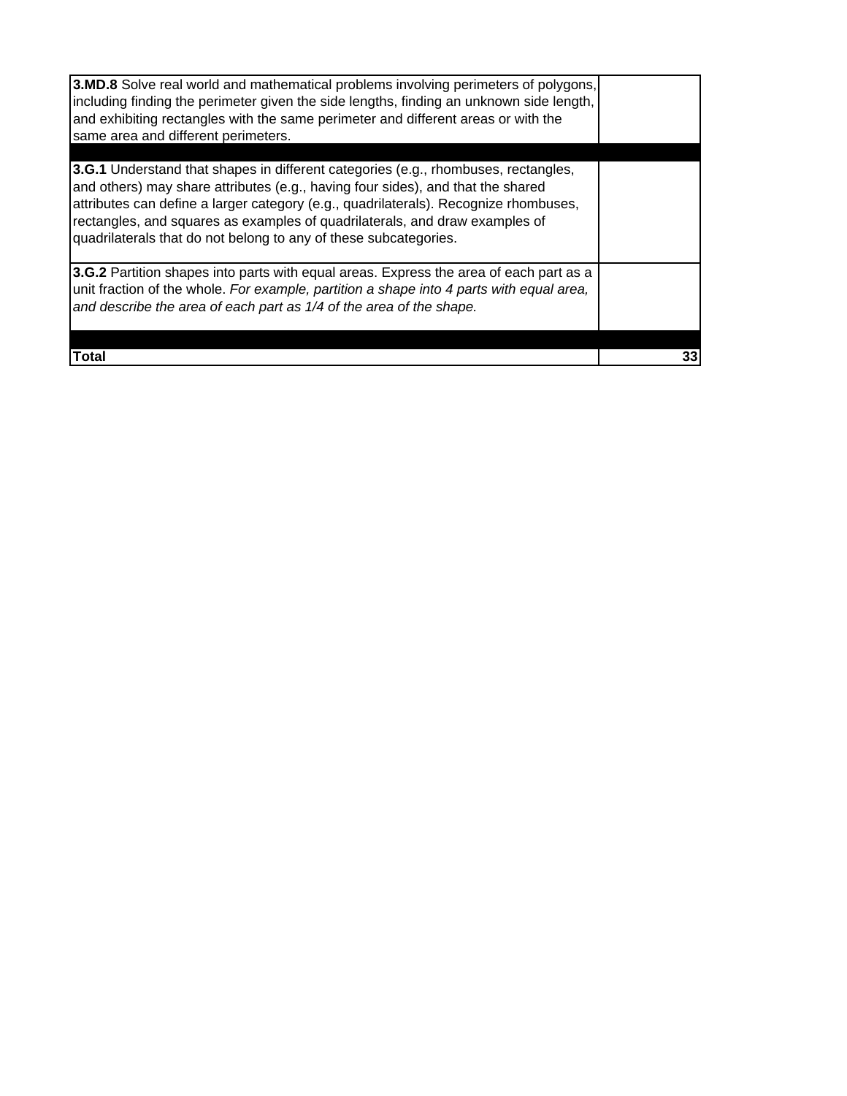| 33 |
|----|
|    |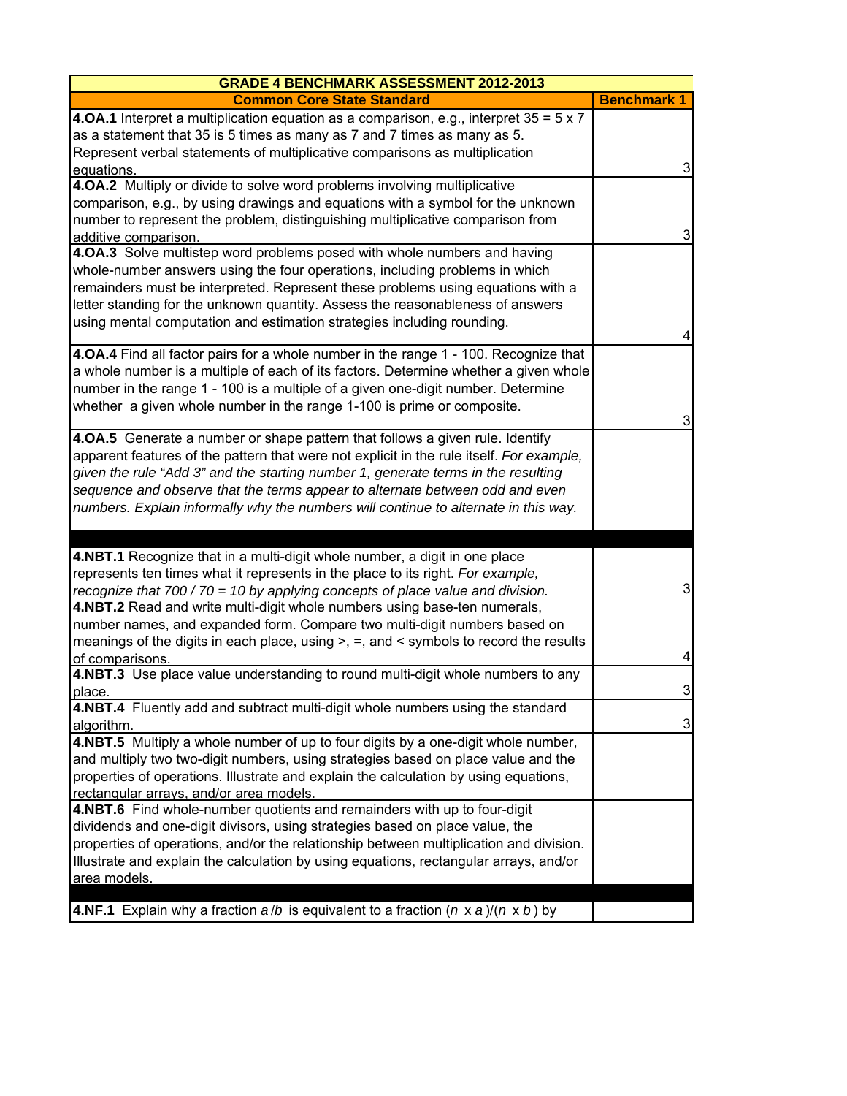| <b>GRADE 4 BENCHMARK ASSESSMENT 2012-2013</b>                                                         |                    |
|-------------------------------------------------------------------------------------------------------|--------------------|
| <b>Common Core State Standard</b>                                                                     | <b>Benchmark 1</b> |
| <b>4.0A.1</b> Interpret a multiplication equation as a comparison, e.g., interpret $35 = 5 \times 7$  |                    |
| as a statement that 35 is 5 times as many as 7 and 7 times as many as 5.                              |                    |
| Represent verbal statements of multiplicative comparisons as multiplication                           |                    |
| equations.                                                                                            | 3                  |
| 4.0A.2 Multiply or divide to solve word problems involving multiplicative                             |                    |
| comparison, e.g., by using drawings and equations with a symbol for the unknown                       |                    |
| number to represent the problem, distinguishing multiplicative comparison from                        |                    |
| additive comparison.                                                                                  | 3                  |
| 4.OA.3 Solve multistep word problems posed with whole numbers and having                              |                    |
| whole-number answers using the four operations, including problems in which                           |                    |
| remainders must be interpreted. Represent these problems using equations with a                       |                    |
| letter standing for the unknown quantity. Assess the reasonableness of answers                        |                    |
| using mental computation and estimation strategies including rounding.                                |                    |
|                                                                                                       | 4                  |
| 4.0A.4 Find all factor pairs for a whole number in the range 1 - 100. Recognize that                  |                    |
| a whole number is a multiple of each of its factors. Determine whether a given whole                  |                    |
| number in the range 1 - 100 is a multiple of a given one-digit number. Determine                      |                    |
| whether a given whole number in the range 1-100 is prime or composite.                                |                    |
|                                                                                                       | 3                  |
| 4.0A.5 Generate a number or shape pattern that follows a given rule. Identify                         |                    |
| apparent features of the pattern that were not explicit in the rule itself. For example,              |                    |
| given the rule "Add 3" and the starting number 1, generate terms in the resulting                     |                    |
| sequence and observe that the terms appear to alternate between odd and even                          |                    |
| numbers. Explain informally why the numbers will continue to alternate in this way.                   |                    |
|                                                                                                       |                    |
| 4.NBT.1 Recognize that in a multi-digit whole number, a digit in one place                            |                    |
| represents ten times what it represents in the place to its right. For example,                       |                    |
| recognize that 700 / 70 = 10 by applying concepts of place value and division.                        | 3                  |
| 4.NBT.2 Read and write multi-digit whole numbers using base-ten numerals,                             |                    |
| number names, and expanded form. Compare two multi-digit numbers based on                             |                    |
| meanings of the digits in each place, using >, =, and < symbols to record the results                 |                    |
| of comparisons.                                                                                       | 4                  |
| 4.NBT.3 Use place value understanding to round multi-digit whole numbers to any                       |                    |
| place.                                                                                                | 3                  |
| 4.NBT.4 Fluently add and subtract multi-digit whole numbers using the standard                        |                    |
| algorithm.                                                                                            | 3                  |
| 4.NBT.5 Multiply a whole number of up to four digits by a one-digit whole number,                     |                    |
| and multiply two two-digit numbers, using strategies based on place value and the                     |                    |
| properties of operations. Illustrate and explain the calculation by using equations,                  |                    |
| rectangular arrays, and/or area models.                                                               |                    |
| 4.NBT.6 Find whole-number quotients and remainders with up to four-digit                              |                    |
| dividends and one-digit divisors, using strategies based on place value, the                          |                    |
| properties of operations, and/or the relationship between multiplication and division.                |                    |
| Illustrate and explain the calculation by using equations, rectangular arrays, and/or                 |                    |
| area models.                                                                                          |                    |
|                                                                                                       |                    |
| <b>4.NF.1</b> Explain why a fraction $a/b$ is equivalent to a fraction $(n \times a)/(n \times b)$ by |                    |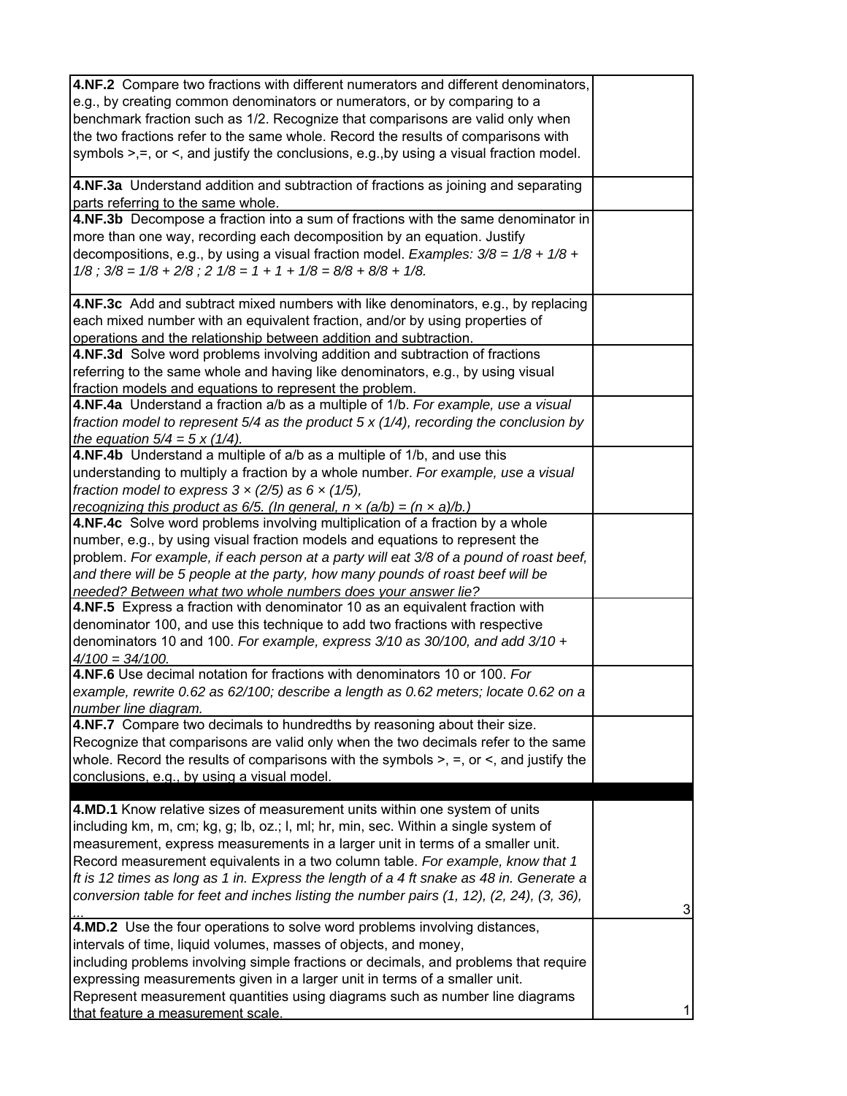| 4.NF.2 Compare two fractions with different numerators and different denominators,<br>e.g., by creating common denominators or numerators, or by comparing to a<br>benchmark fraction such as 1/2. Recognize that comparisons are valid only when<br>the two fractions refer to the same whole. Record the results of comparisons with<br>symbols $\geq, =$ , or $\leq$ , and justify the conclusions, e.g., by using a visual fraction model.                                                                               |   |
|------------------------------------------------------------------------------------------------------------------------------------------------------------------------------------------------------------------------------------------------------------------------------------------------------------------------------------------------------------------------------------------------------------------------------------------------------------------------------------------------------------------------------|---|
| 4.NF.3a Understand addition and subtraction of fractions as joining and separating<br>parts referring to the same whole.                                                                                                                                                                                                                                                                                                                                                                                                     |   |
| 4.NF.3b Decompose a fraction into a sum of fractions with the same denominator in<br>more than one way, recording each decomposition by an equation. Justify<br>decompositions, e.g., by using a visual fraction model. Examples: $3/8 = 1/8 + 1/8 + 1$<br>$1/8$ ; $3/8 = 1/8 + 2/8$ ; $2 \frac{1}{8} = 1 + 1 + \frac{1}{8} = \frac{8}{8} + \frac{8}{8} + \frac{1}{8}$ .                                                                                                                                                     |   |
| 4.NF.3c Add and subtract mixed numbers with like denominators, e.g., by replacing<br>each mixed number with an equivalent fraction, and/or by using properties of<br>operations and the relationship between addition and subtraction.                                                                                                                                                                                                                                                                                       |   |
| 4.NF.3d Solve word problems involving addition and subtraction of fractions<br>referring to the same whole and having like denominators, e.g., by using visual<br>fraction models and equations to represent the problem.                                                                                                                                                                                                                                                                                                    |   |
| 4.NF.4a Understand a fraction a/b as a multiple of 1/b. For example, use a visual<br>fraction model to represent $5/4$ as the product $5 \times (1/4)$ , recording the conclusion by<br>the equation $5/4 = 5 \times (1/4)$ .                                                                                                                                                                                                                                                                                                |   |
| 4.NF.4b Understand a multiple of a/b as a multiple of 1/b, and use this<br>understanding to multiply a fraction by a whole number. For example, use a visual<br>fraction model to express $3 \times (2/5)$ as $6 \times (1/5)$ ,<br>recognizing this product as 6/5. (In general, $n \times (a/b) = (n \times a)/b$ .)                                                                                                                                                                                                       |   |
| 4.NF.4c Solve word problems involving multiplication of a fraction by a whole<br>number, e.g., by using visual fraction models and equations to represent the<br>problem. For example, if each person at a party will eat 3/8 of a pound of roast beef,<br>and there will be 5 people at the party, how many pounds of roast beef will be<br>needed? Between what two whole numbers does your answer lie?                                                                                                                    |   |
| 4.NF.5 Express a fraction with denominator 10 as an equivalent fraction with<br>denominator 100, and use this technique to add two fractions with respective<br>denominators 10 and 100. For example, express 3/10 as 30/100, and add 3/10 +<br>$4/100 = 34/100.$                                                                                                                                                                                                                                                            |   |
| 4.NF.6 Use decimal notation for fractions with denominators 10 or 100. For<br>example, rewrite 0.62 as 62/100; describe a length as 0.62 meters; locate 0.62 on a<br>number line diagram.                                                                                                                                                                                                                                                                                                                                    |   |
| 4.NF.7 Compare two decimals to hundredths by reasoning about their size.<br>Recognize that comparisons are valid only when the two decimals refer to the same<br>whole. Record the results of comparisons with the symbols $>$ , =, or $\lt$ , and justify the<br>conclusions, e.g., by using a visual model.                                                                                                                                                                                                                |   |
| 4.MD.1 Know relative sizes of measurement units within one system of units<br>including km, m, cm; kg, g; lb, oz.; l, ml; hr, min, sec. Within a single system of<br>measurement, express measurements in a larger unit in terms of a smaller unit.<br>Record measurement equivalents in a two column table. For example, know that 1<br>ft is 12 times as long as 1 in. Express the length of a 4 ft snake as 48 in. Generate a<br>conversion table for feet and inches listing the number pairs (1, 12), (2, 24), (3, 36), | 3 |
| 4.MD.2 Use the four operations to solve word problems involving distances,<br>intervals of time, liquid volumes, masses of objects, and money,<br>including problems involving simple fractions or decimals, and problems that require<br>expressing measurements given in a larger unit in terms of a smaller unit.<br>Represent measurement quantities using diagrams such as number line diagrams<br>that feature a measurement scale.                                                                                    | 1 |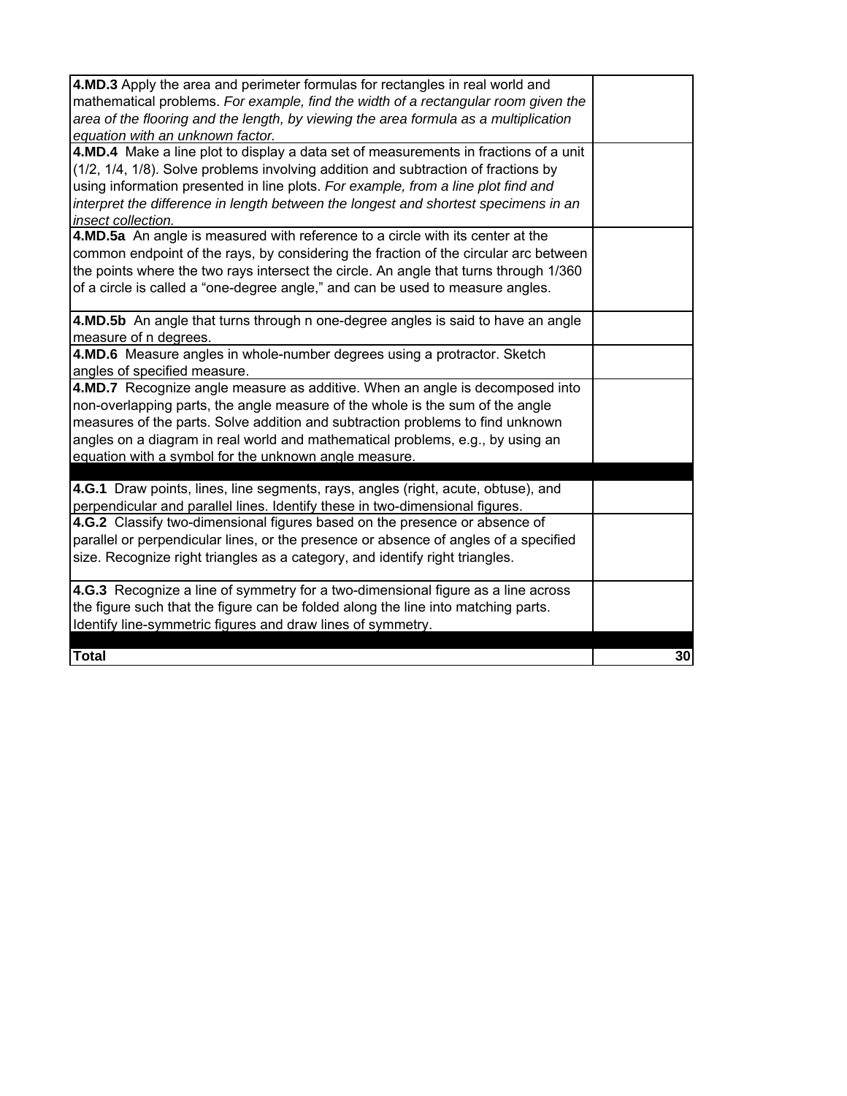| 4.MD.3 Apply the area and perimeter formulas for rectangles in real world and         |    |
|---------------------------------------------------------------------------------------|----|
| mathematical problems. For example, find the width of a rectangular room given the    |    |
| area of the flooring and the length, by viewing the area formula as a multiplication  |    |
| equation with an unknown factor.                                                      |    |
| 4.MD.4 Make a line plot to display a data set of measurements in fractions of a unit  |    |
| (1/2, 1/4, 1/8). Solve problems involving addition and subtraction of fractions by    |    |
| using information presented in line plots. For example, from a line plot find and     |    |
| interpret the difference in length between the longest and shortest specimens in an   |    |
| insect collection.                                                                    |    |
| 4.MD.5a An angle is measured with reference to a circle with its center at the        |    |
| common endpoint of the rays, by considering the fraction of the circular arc between  |    |
| the points where the two rays intersect the circle. An angle that turns through 1/360 |    |
| of a circle is called a "one-degree angle," and can be used to measure angles.        |    |
| 4.MD.5b An angle that turns through n one-degree angles is said to have an angle      |    |
| measure of n degrees.                                                                 |    |
| 4.MD.6 Measure angles in whole-number degrees using a protractor. Sketch              |    |
| angles of specified measure.                                                          |    |
| 4.MD.7 Recognize angle measure as additive. When an angle is decomposed into          |    |
| non-overlapping parts, the angle measure of the whole is the sum of the angle         |    |
| measures of the parts. Solve addition and subtraction problems to find unknown        |    |
| angles on a diagram in real world and mathematical problems, e.g., by using an        |    |
| equation with a symbol for the unknown angle measure.                                 |    |
|                                                                                       |    |
| 4.G.1 Draw points, lines, line segments, rays, angles (right, acute, obtuse), and     |    |
| perpendicular and parallel lines. Identify these in two-dimensional figures.          |    |
| 4.G.2 Classify two-dimensional figures based on the presence or absence of            |    |
| parallel or perpendicular lines, or the presence or absence of angles of a specified  |    |
| size. Recognize right triangles as a category, and identify right triangles.          |    |
| 4.G.3 Recognize a line of symmetry for a two-dimensional figure as a line across      |    |
| the figure such that the figure can be folded along the line into matching parts.     |    |
| Identify line-symmetric figures and draw lines of symmetry.                           |    |
|                                                                                       |    |
| <b>Total</b>                                                                          | 30 |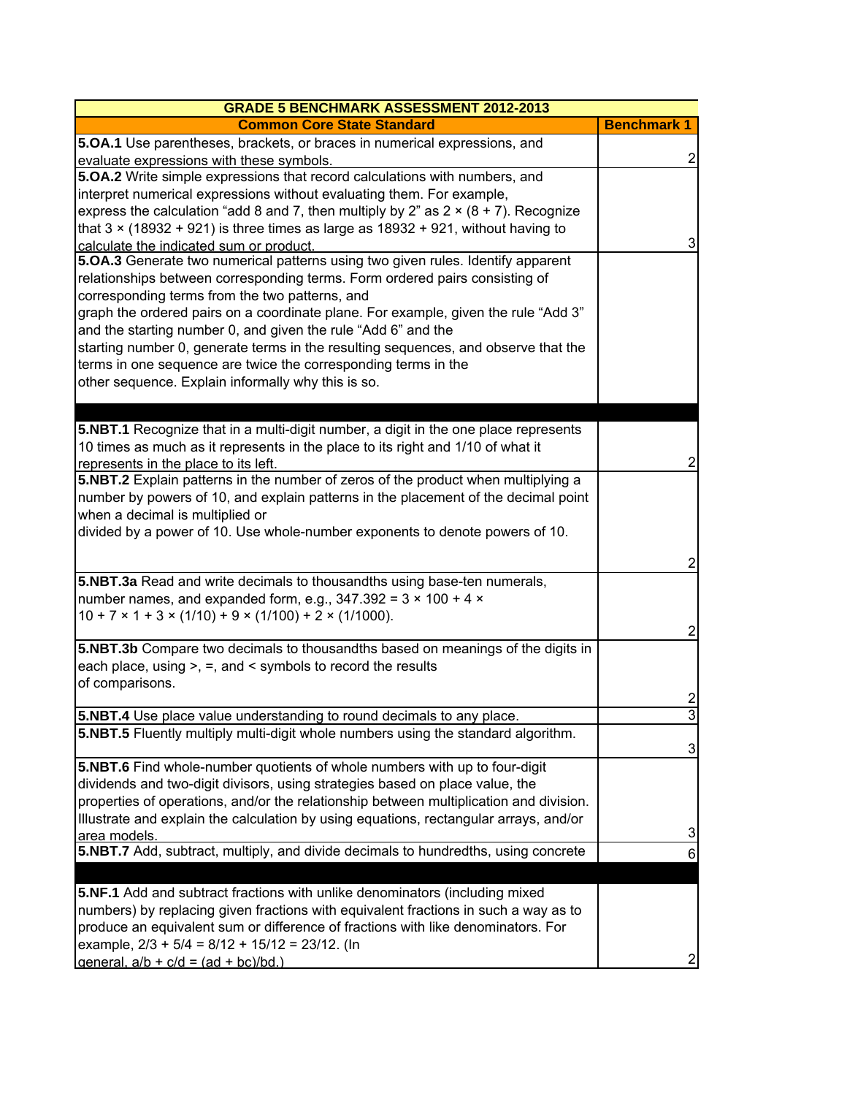| <b>GRADE 5 BENCHMARK ASSESSMENT 2012-2013</b>                                                                                                                                                                                                                                                                                                                                                                                                                                                                                                                                                                                    |                    |
|----------------------------------------------------------------------------------------------------------------------------------------------------------------------------------------------------------------------------------------------------------------------------------------------------------------------------------------------------------------------------------------------------------------------------------------------------------------------------------------------------------------------------------------------------------------------------------------------------------------------------------|--------------------|
| <b>Common Core State Standard</b>                                                                                                                                                                                                                                                                                                                                                                                                                                                                                                                                                                                                | <b>Benchmark 1</b> |
| 5.0A.1 Use parentheses, brackets, or braces in numerical expressions, and<br>evaluate expressions with these symbols.                                                                                                                                                                                                                                                                                                                                                                                                                                                                                                            | 2                  |
| 5.OA.2 Write simple expressions that record calculations with numbers, and<br>interpret numerical expressions without evaluating them. For example,<br>express the calculation "add 8 and 7, then multiply by 2" as $2 \times (8 + 7)$ . Recognize<br>that $3 \times (18932 + 921)$ is three times as large as $18932 + 921$ , without having to                                                                                                                                                                                                                                                                                 |                    |
| calculate the indicated sum or product.<br>5.0A.3 Generate two numerical patterns using two given rules. Identify apparent<br>relationships between corresponding terms. Form ordered pairs consisting of<br>corresponding terms from the two patterns, and<br>graph the ordered pairs on a coordinate plane. For example, given the rule "Add 3"<br>and the starting number 0, and given the rule "Add 6" and the<br>starting number 0, generate terms in the resulting sequences, and observe that the<br>terms in one sequence are twice the corresponding terms in the<br>other sequence. Explain informally why this is so. | 3                  |
|                                                                                                                                                                                                                                                                                                                                                                                                                                                                                                                                                                                                                                  |                    |
| 5.NBT.1 Recognize that in a multi-digit number, a digit in the one place represents<br>10 times as much as it represents in the place to its right and 1/10 of what it<br>represents in the place to its left.                                                                                                                                                                                                                                                                                                                                                                                                                   | 2                  |
| 5.NBT.2 Explain patterns in the number of zeros of the product when multiplying a<br>number by powers of 10, and explain patterns in the placement of the decimal point<br>when a decimal is multiplied or<br>divided by a power of 10. Use whole-number exponents to denote powers of 10.                                                                                                                                                                                                                                                                                                                                       |                    |
|                                                                                                                                                                                                                                                                                                                                                                                                                                                                                                                                                                                                                                  | 2                  |
| 5.NBT.3a Read and write decimals to thousandths using base-ten numerals,<br>number names, and expanded form, e.g., $347.392 = 3 \times 100 + 4 \times$<br>$10 + 7 \times 1 + 3 \times (1/10) + 9 \times (1/100) + 2 \times (1/1000)$ .                                                                                                                                                                                                                                                                                                                                                                                           | 2                  |
| 5.NBT.3b Compare two decimals to thousandths based on meanings of the digits in<br>each place, using $>$ , $=$ , and $\le$ symbols to record the results<br>of comparisons.                                                                                                                                                                                                                                                                                                                                                                                                                                                      | 2                  |
| <b>5.NBT.4</b> Use place value understanding to round decimals to any place.                                                                                                                                                                                                                                                                                                                                                                                                                                                                                                                                                     | $\overline{3}$     |
| 5.NBT.5 Fluently multiply multi-digit whole numbers using the standard algorithm.                                                                                                                                                                                                                                                                                                                                                                                                                                                                                                                                                | 3                  |
| 5.NBT.6 Find whole-number quotients of whole numbers with up to four-digit<br>dividends and two-digit divisors, using strategies based on place value, the<br>properties of operations, and/or the relationship between multiplication and division.<br>Illustrate and explain the calculation by using equations, rectangular arrays, and/or<br>area models.                                                                                                                                                                                                                                                                    | 3                  |
| 5.NBT.7 Add, subtract, multiply, and divide decimals to hundredths, using concrete                                                                                                                                                                                                                                                                                                                                                                                                                                                                                                                                               | 6                  |
|                                                                                                                                                                                                                                                                                                                                                                                                                                                                                                                                                                                                                                  |                    |
| 5.NF.1 Add and subtract fractions with unlike denominators (including mixed<br>numbers) by replacing given fractions with equivalent fractions in such a way as to<br>produce an equivalent sum or difference of fractions with like denominators. For<br>example, $2/3$ + 5/4 = 8/12 + 15/12 = 23/12. (In<br>qeneral, $a/b + c/d = (ad + bc)/bd.$                                                                                                                                                                                                                                                                               | 2                  |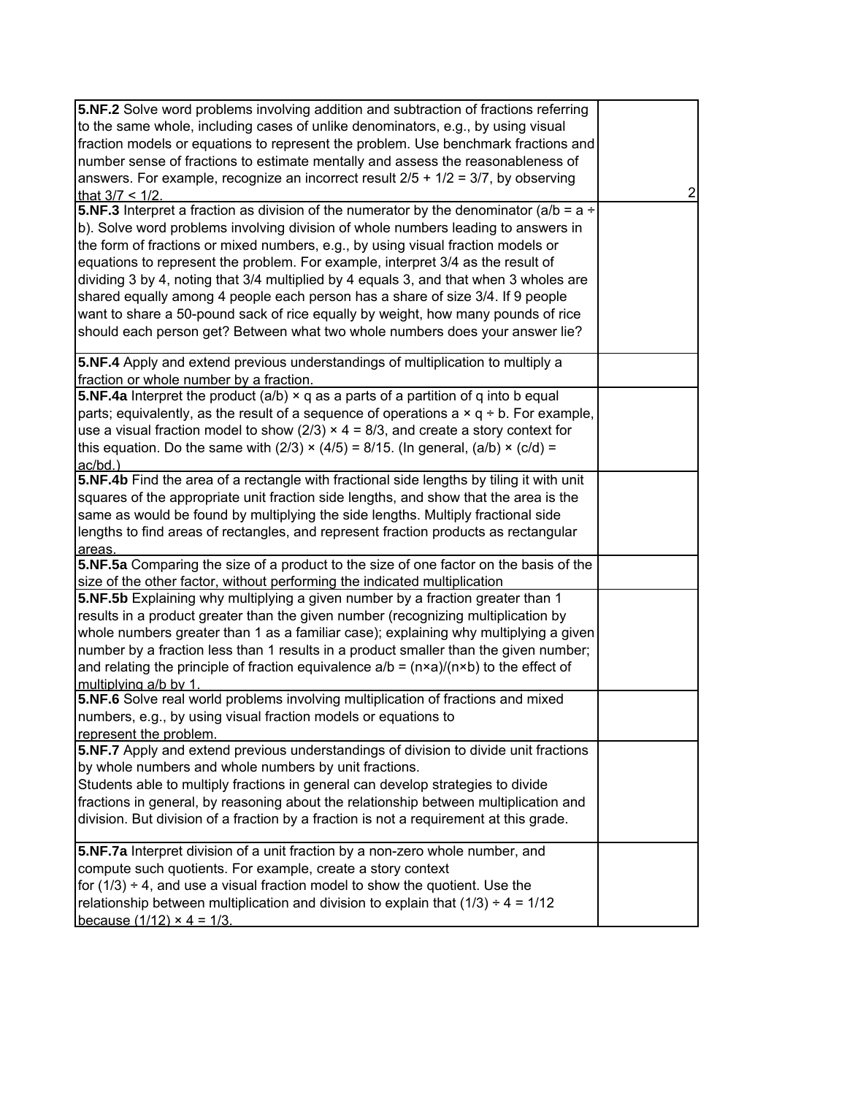| 5.NF.2 Solve word problems involving addition and subtraction of fractions referring                  |                |
|-------------------------------------------------------------------------------------------------------|----------------|
| to the same whole, including cases of unlike denominators, e.g., by using visual                      |                |
| fraction models or equations to represent the problem. Use benchmark fractions and                    |                |
| number sense of fractions to estimate mentally and assess the reasonableness of                       |                |
| answers. For example, recognize an incorrect result $2/5 + 1/2 = 3/7$ , by observing                  |                |
| that $3/7 < 1/2$ .                                                                                    | $\overline{2}$ |
| <b>5.NF.3</b> Interpret a fraction as division of the numerator by the denominator (a/b = $a \div$    |                |
| b). Solve word problems involving division of whole numbers leading to answers in                     |                |
| the form of fractions or mixed numbers, e.g., by using visual fraction models or                      |                |
| equations to represent the problem. For example, interpret 3/4 as the result of                       |                |
| dividing 3 by 4, noting that 3/4 multiplied by 4 equals 3, and that when 3 wholes are                 |                |
| shared equally among 4 people each person has a share of size 3/4. If 9 people                        |                |
| want to share a 50-pound sack of rice equally by weight, how many pounds of rice                      |                |
| should each person get? Between what two whole numbers does your answer lie?                          |                |
| 5.NF.4 Apply and extend previous understandings of multiplication to multiply a                       |                |
| fraction or whole number by a fraction.                                                               |                |
| 5.NF.4a Interpret the product (a/b) $\times$ q as a parts of a partition of q into b equal            |                |
| parts; equivalently, as the result of a sequence of operations $a \times q + b$ . For example,        |                |
| use a visual fraction model to show ( $2/3$ ) $\times$ 4 = 8/3, and create a story context for        |                |
| this equation. Do the same with (2/3) $\times$ (4/5) = 8/15. (In general, (a/b) $\times$ (c/d) =      |                |
| ac/bd.)                                                                                               |                |
| 5.NF.4b Find the area of a rectangle with fractional side lengths by tiling it with unit              |                |
| squares of the appropriate unit fraction side lengths, and show that the area is the                  |                |
| same as would be found by multiplying the side lengths. Multiply fractional side                      |                |
| lengths to find areas of rectangles, and represent fraction products as rectangular                   |                |
| areas.<br>5.NF.5a Comparing the size of a product to the size of one factor on the basis of the       |                |
| size of the other factor, without performing the indicated multiplication                             |                |
| 5.NF.5b Explaining why multiplying a given number by a fraction greater than 1                        |                |
| results in a product greater than the given number (recognizing multiplication by                     |                |
| whole numbers greater than 1 as a familiar case); explaining why multiplying a given                  |                |
| number by a fraction less than 1 results in a product smaller than the given number;                  |                |
| and relating the principle of fraction equivalence $a/b = (n \times a)/(n \times b)$ to the effect of |                |
| multiplying a/b by 1                                                                                  |                |
| 5.NF.6 Solve real world problems involving multiplication of fractions and mixed                      |                |
| numbers, e.g., by using visual fraction models or equations to                                        |                |
| represent the problem.                                                                                |                |
| 5.NF.7 Apply and extend previous understandings of division to divide unit fractions                  |                |
| by whole numbers and whole numbers by unit fractions.                                                 |                |
| Students able to multiply fractions in general can develop strategies to divide                       |                |
| fractions in general, by reasoning about the relationship between multiplication and                  |                |
| division. But division of a fraction by a fraction is not a requirement at this grade.                |                |
| 5.NF.7a Interpret division of a unit fraction by a non-zero whole number, and                         |                |
| compute such quotients. For example, create a story context                                           |                |
| for $(1/3) \div 4$ , and use a visual fraction model to show the quotient. Use the                    |                |
| relationship between multiplication and division to explain that $(1/3) \div 4 = 1/12$                |                |
| because $(1/12) \times 4 = 1/3$ .                                                                     |                |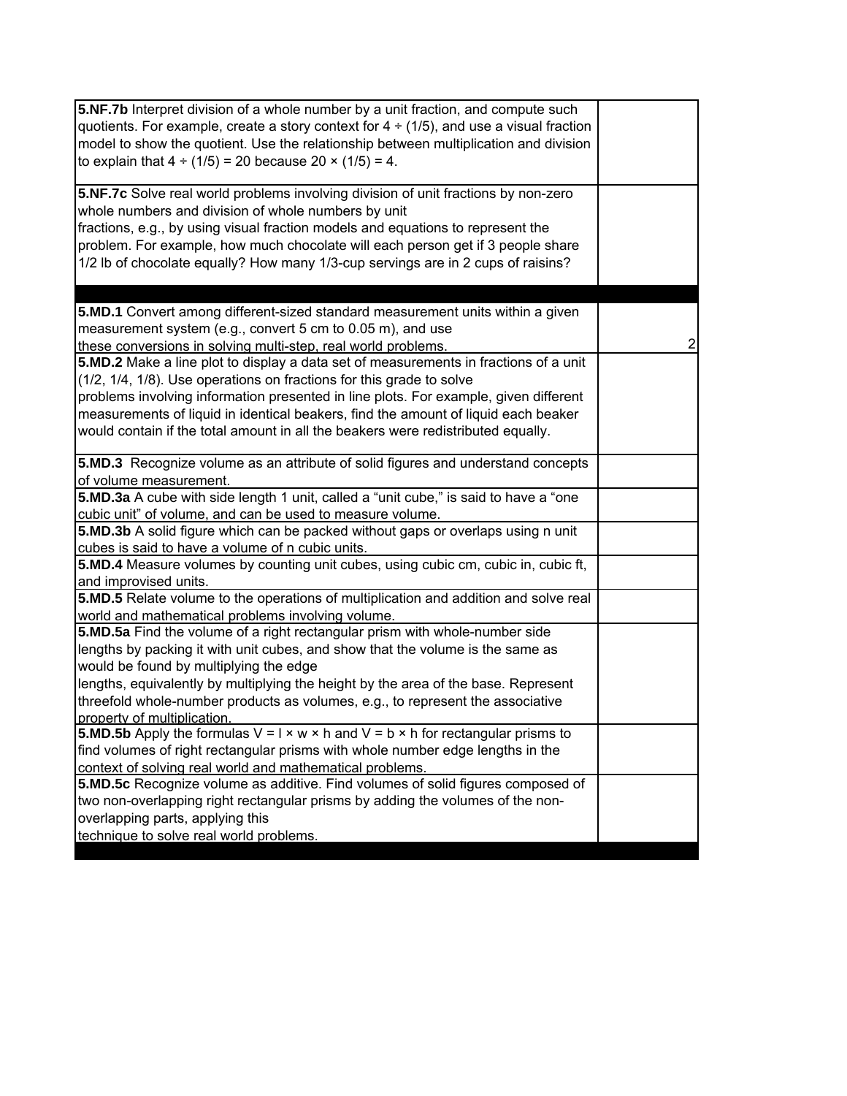| 5.NF.7b Interpret division of a whole number by a unit fraction, and compute such<br>quotients. For example, create a story context for $4 \div (1/5)$ , and use a visual fraction<br>model to show the quotient. Use the relationship between multiplication and division<br>to explain that $4 \div (1/5) = 20$ because $20 \times (1/5) = 4$ .                                                              |                |
|----------------------------------------------------------------------------------------------------------------------------------------------------------------------------------------------------------------------------------------------------------------------------------------------------------------------------------------------------------------------------------------------------------------|----------------|
| 5.NF.7c Solve real world problems involving division of unit fractions by non-zero<br>whole numbers and division of whole numbers by unit<br>fractions, e.g., by using visual fraction models and equations to represent the<br>problem. For example, how much chocolate will each person get if 3 people share<br>1/2 lb of chocolate equally? How many 1/3-cup servings are in 2 cups of raisins?            |                |
| 5.MD.1 Convert among different-sized standard measurement units within a given<br>measurement system (e.g., convert 5 cm to 0.05 m), and use<br>these conversions in solving multi-step, real world problems.<br>5.MD.2 Make a line plot to display a data set of measurements in fractions of a unit                                                                                                          | $\overline{2}$ |
| (1/2, 1/4, 1/8). Use operations on fractions for this grade to solve<br>problems involving information presented in line plots. For example, given different<br>measurements of liquid in identical beakers, find the amount of liquid each beaker<br>would contain if the total amount in all the beakers were redistributed equally.                                                                         |                |
| 5.MD.3 Recognize volume as an attribute of solid figures and understand concepts<br>of volume measurement.                                                                                                                                                                                                                                                                                                     |                |
| 5.MD.3a A cube with side length 1 unit, called a "unit cube," is said to have a "one<br>cubic unit" of volume, and can be used to measure volume.                                                                                                                                                                                                                                                              |                |
| 5.MD.3b A solid figure which can be packed without gaps or overlaps using n unit<br>cubes is said to have a volume of n cubic units.                                                                                                                                                                                                                                                                           |                |
| 5.MD.4 Measure volumes by counting unit cubes, using cubic cm, cubic in, cubic ft,<br>and improvised units.                                                                                                                                                                                                                                                                                                    |                |
| 5.MD.5 Relate volume to the operations of multiplication and addition and solve real<br>world and mathematical problems involving volume.                                                                                                                                                                                                                                                                      |                |
| 5.MD.5a Find the volume of a right rectangular prism with whole-number side<br>lengths by packing it with unit cubes, and show that the volume is the same as<br>would be found by multiplying the edge<br>lengths, equivalently by multiplying the height by the area of the base. Represent<br>threefold whole-number products as volumes, e.g., to represent the associative<br>property of multiplication. |                |
| <b>5.MD.5b</b> Apply the formulas $V = I \times w \times h$ and $V = b \times h$ for rectangular prisms to<br>find volumes of right rectangular prisms with whole number edge lengths in the<br>context of solving real world and mathematical problems.                                                                                                                                                       |                |
| 5.MD.5c Recognize volume as additive. Find volumes of solid figures composed of<br>two non-overlapping right rectangular prisms by adding the volumes of the non-<br>overlapping parts, applying this<br>technique to solve real world problems.                                                                                                                                                               |                |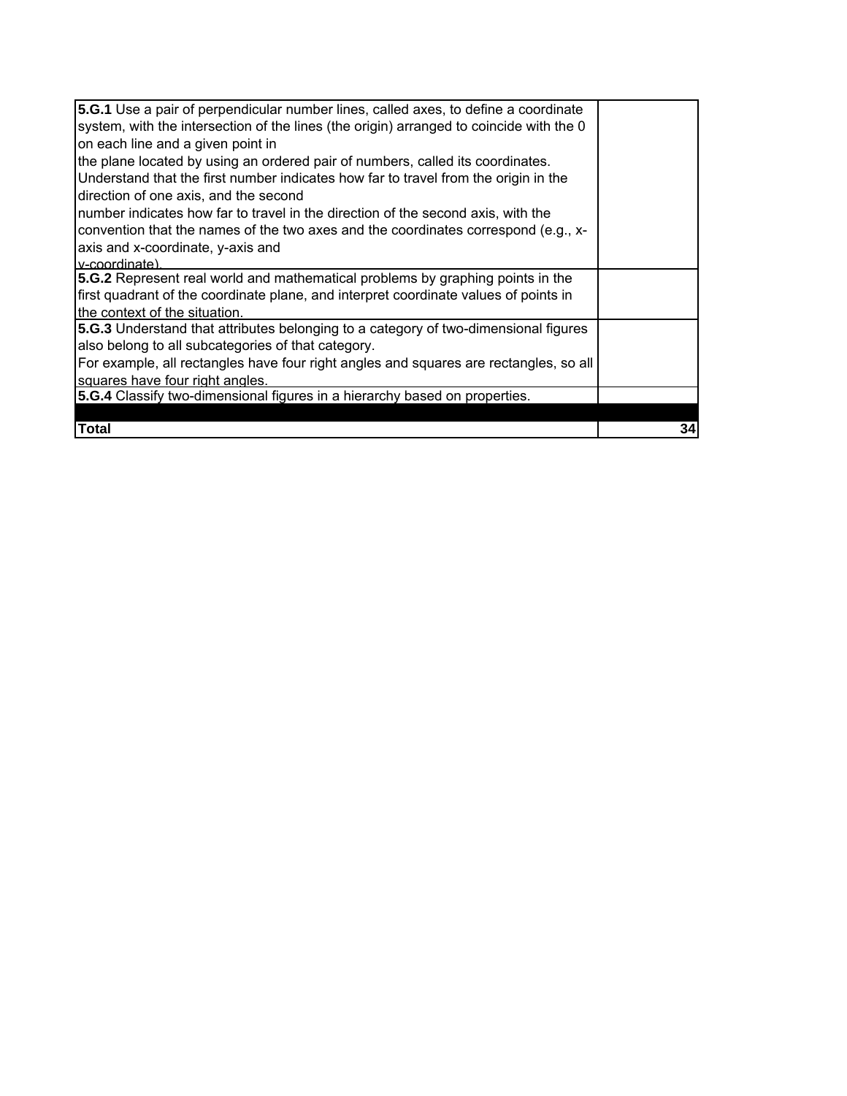| <b>5.G.1</b> Use a pair of perpendicular number lines, called axes, to define a coordinate |    |
|--------------------------------------------------------------------------------------------|----|
| system, with the intersection of the lines (the origin) arranged to coincide with the 0    |    |
| on each line and a given point in                                                          |    |
| the plane located by using an ordered pair of numbers, called its coordinates.             |    |
| Understand that the first number indicates how far to travel from the origin in the        |    |
| direction of one axis, and the second                                                      |    |
| number indicates how far to travel in the direction of the second axis, with the           |    |
| convention that the names of the two axes and the coordinates correspond (e.g., x-         |    |
| axis and x-coordinate, y-axis and                                                          |    |
| v-coordinate)                                                                              |    |
| 5.G.2 Represent real world and mathematical problems by graphing points in the             |    |
| first quadrant of the coordinate plane, and interpret coordinate values of points in       |    |
| the context of the situation.                                                              |    |
| 5.G.3 Understand that attributes belonging to a category of two-dimensional figures        |    |
| also belong to all subcategories of that category.                                         |    |
| For example, all rectangles have four right angles and squares are rectangles, so all      |    |
| squares have four right angles.                                                            |    |
| 5.G.4 Classify two-dimensional figures in a hierarchy based on properties.                 |    |
|                                                                                            |    |
| Total                                                                                      | 34 |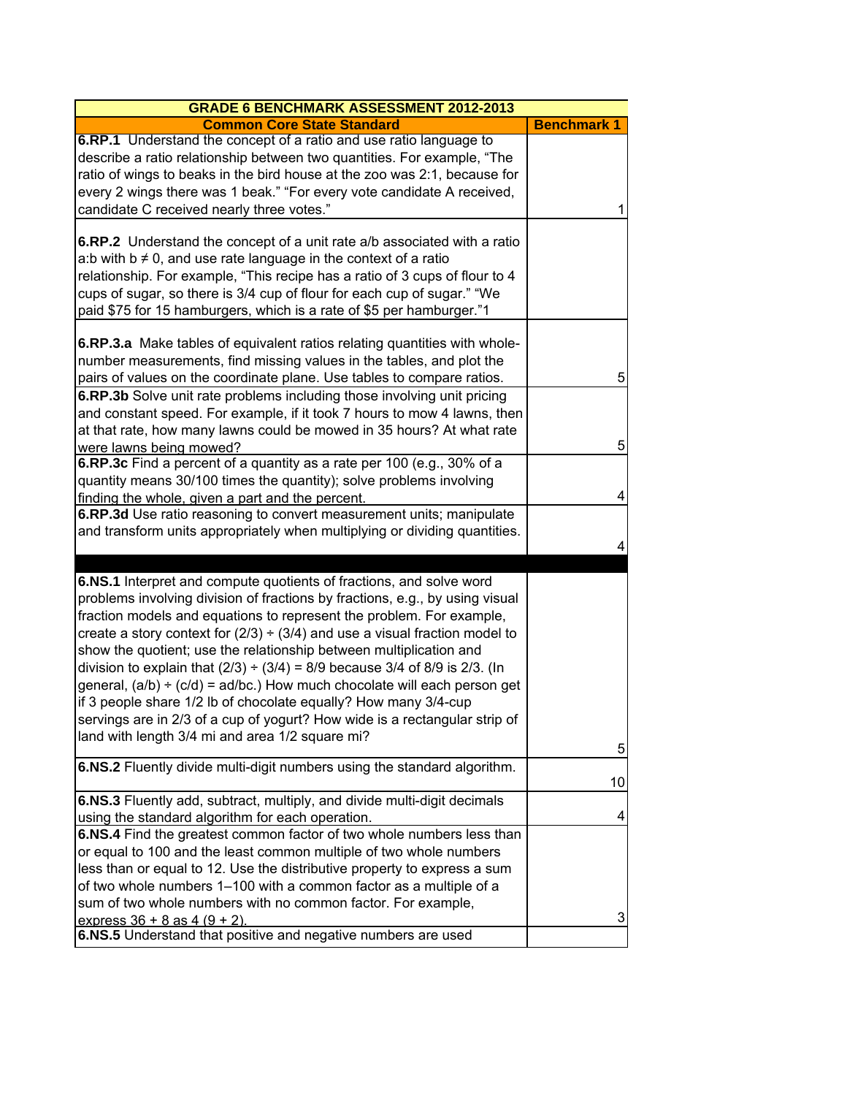| <b>GRADE 6 BENCHMARK ASSESSMENT 2012-2013</b>                                    |                    |
|----------------------------------------------------------------------------------|--------------------|
| <b>Common Core State Standard</b>                                                | <b>Benchmark 1</b> |
| 6.RP.1 Understand the concept of a ratio and use ratio language to               |                    |
| describe a ratio relationship between two quantities. For example, "The          |                    |
| ratio of wings to beaks in the bird house at the zoo was 2:1, because for        |                    |
| every 2 wings there was 1 beak." "For every vote candidate A received,           |                    |
| candidate C received nearly three votes."                                        | 1                  |
|                                                                                  |                    |
| 6.RP.2 Understand the concept of a unit rate a/b associated with a ratio         |                    |
| a:b with $b \neq 0$ , and use rate language in the context of a ratio            |                    |
| relationship. For example, "This recipe has a ratio of 3 cups of flour to 4      |                    |
| cups of sugar, so there is 3/4 cup of flour for each cup of sugar." "We          |                    |
| paid \$75 for 15 hamburgers, which is a rate of \$5 per hamburger."1             |                    |
|                                                                                  |                    |
| 6.RP.3.a Make tables of equivalent ratios relating quantities with whole-        |                    |
| number measurements, find missing values in the tables, and plot the             |                    |
| pairs of values on the coordinate plane. Use tables to compare ratios.           | 5                  |
| 6.RP.3b Solve unit rate problems including those involving unit pricing          |                    |
| and constant speed. For example, if it took 7 hours to mow 4 lawns, then         |                    |
| at that rate, how many lawns could be mowed in 35 hours? At what rate            |                    |
| were lawns being mowed?                                                          | 5                  |
| 6.RP.3c Find a percent of a quantity as a rate per 100 (e.g., 30% of a           |                    |
| quantity means 30/100 times the quantity); solve problems involving              |                    |
| finding the whole, given a part and the percent.                                 | 4                  |
| 6.RP.3d Use ratio reasoning to convert measurement units; manipulate             |                    |
| and transform units appropriately when multiplying or dividing quantities.       | 4                  |
|                                                                                  |                    |
| 6.NS.1 Interpret and compute quotients of fractions, and solve word              |                    |
| problems involving division of fractions by fractions, e.g., by using visual     |                    |
| fraction models and equations to represent the problem. For example,             |                    |
| create a story context for $(2/3) \div (3/4)$ and use a visual fraction model to |                    |
| show the quotient; use the relationship between multiplication and               |                    |
| division to explain that $(2/3) \div (3/4) = 8/9$ because 3/4 of 8/9 is 2/3. (In |                    |
| general, $(a/b) \div (c/d) = ad/bc$ .) How much chocolate will each person get   |                    |
| if 3 people share 1/2 lb of chocolate equally? How many 3/4-cup                  |                    |
| servings are in 2/3 of a cup of yogurt? How wide is a rectangular strip of       |                    |
| land with length 3/4 mi and area 1/2 square mi?                                  |                    |
|                                                                                  | 5                  |
| 6.NS.2 Fluently divide multi-digit numbers using the standard algorithm.         |                    |
|                                                                                  | 10                 |
| 6.NS.3 Fluently add, subtract, multiply, and divide multi-digit decimals         |                    |
| using the standard algorithm for each operation.                                 | 4                  |
| 6.NS.4 Find the greatest common factor of two whole numbers less than            |                    |
| or equal to 100 and the least common multiple of two whole numbers               |                    |
| less than or equal to 12. Use the distributive property to express a sum         |                    |
| of two whole numbers 1-100 with a common factor as a multiple of a               |                    |
| sum of two whole numbers with no common factor. For example,                     |                    |
| express $36 + 8$ as $4 (9 + 2)$ .                                                | 3                  |
| 6.NS.5 Understand that positive and negative numbers are used                    |                    |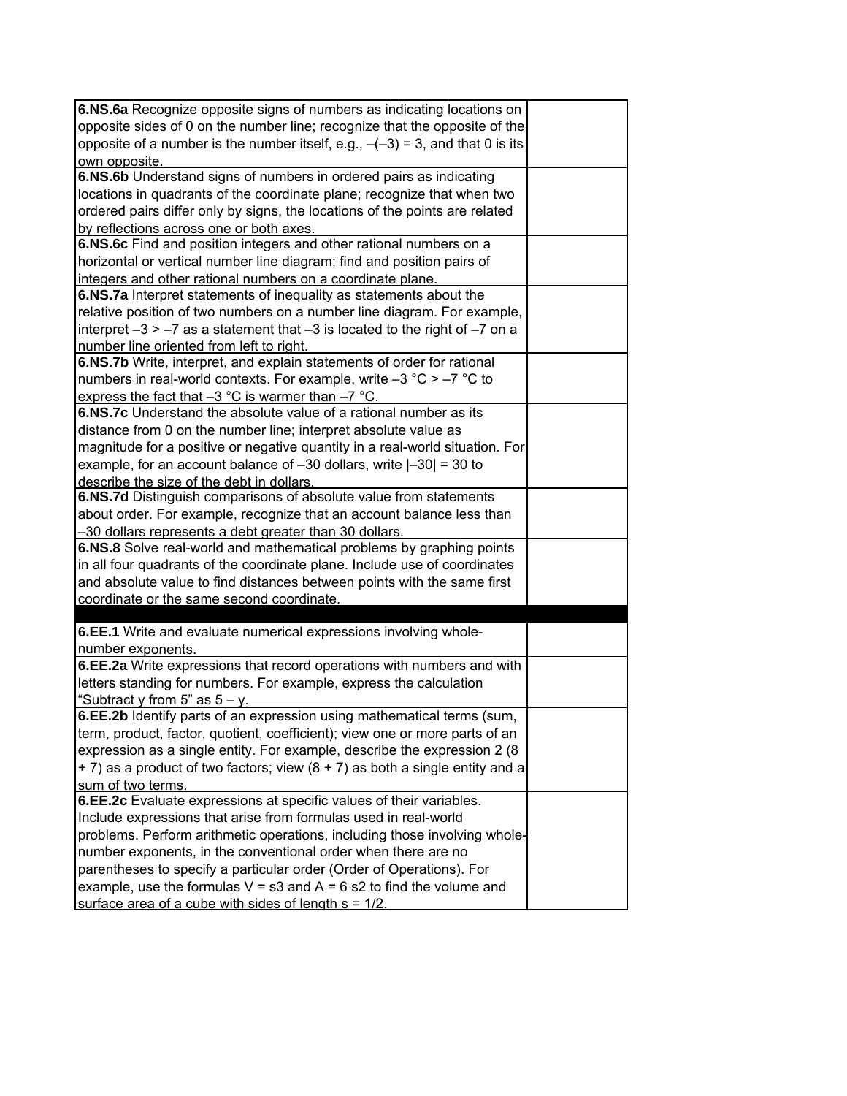| 6.NS.6a Recognize opposite signs of numbers as indicating locations on            |  |
|-----------------------------------------------------------------------------------|--|
| opposite sides of 0 on the number line; recognize that the opposite of the        |  |
| opposite of a number is the number itself, e.g., $-(-3) = 3$ , and that 0 is its  |  |
| own opposite.                                                                     |  |
| 6.NS.6b Understand signs of numbers in ordered pairs as indicating                |  |
| locations in quadrants of the coordinate plane; recognize that when two           |  |
| ordered pairs differ only by signs, the locations of the points are related       |  |
| by reflections across one or both axes.                                           |  |
| 6.NS.6c Find and position integers and other rational numbers on a                |  |
| horizontal or vertical number line diagram; find and position pairs of            |  |
| integers and other rational numbers on a coordinate plane.                        |  |
| 6.NS.7a Interpret statements of inequality as statements about the                |  |
| relative position of two numbers on a number line diagram. For example,           |  |
| Interpret $-3 > -7$ as a statement that $-3$ is located to the right of $-7$ on a |  |
| number line oriented from left to right.                                          |  |
| 6.NS.7b Write, interpret, and explain statements of order for rational            |  |
| numbers in real-world contexts. For example, write $-3$ °C > $-7$ °C to           |  |
| express the fact that $-3$ °C is warmer than $-7$ °C.                             |  |
| 6.NS.7c Understand the absolute value of a rational number as its                 |  |
| distance from 0 on the number line; interpret absolute value as                   |  |
| magnitude for a positive or negative quantity in a real-world situation. For      |  |
| example, for an account balance of $-30$ dollars, write $ -30  = 30$ to           |  |
| describe the size of the debt in dollars.                                         |  |
| 6.NS.7d Distinguish comparisons of absolute value from statements                 |  |
| about order. For example, recognize that an account balance less than             |  |
| -30 dollars represents a debt greater than 30 dollars.                            |  |
| 6.NS.8 Solve real-world and mathematical problems by graphing points              |  |
| in all four quadrants of the coordinate plane. Include use of coordinates         |  |
| and absolute value to find distances between points with the same first           |  |
| coordinate or the same second coordinate.                                         |  |
|                                                                                   |  |
| 6.EE.1 Write and evaluate numerical expressions involving whole-                  |  |
| number exponents.                                                                 |  |
| 6.EE.2a Write expressions that record operations with numbers and with            |  |
| letters standing for numbers. For example, express the calculation                |  |
| "Subtract y from 5" as $5 - y$ .                                                  |  |
| <b>6.EE.2b</b> Identify parts of an expression using mathematical terms (sum,     |  |
| term, product, factor, quotient, coefficient); view one or more parts of an       |  |
| expression as a single entity. For example, describe the expression 2 (8)         |  |
| $+$ 7) as a product of two factors; view (8 $+$ 7) as both a single entity and a  |  |
| sum of two terms.                                                                 |  |
| 6.EE.2c Evaluate expressions at specific values of their variables.               |  |
| Include expressions that arise from formulas used in real-world                   |  |
| problems. Perform arithmetic operations, including those involving whole-         |  |
| number exponents, in the conventional order when there are no                     |  |
| parentheses to specify a particular order (Order of Operations). For              |  |
| example, use the formulas $V = s3$ and $A = 6 s2$ to find the volume and          |  |
| surface area of a cube with sides of length $s = 1/2$ .                           |  |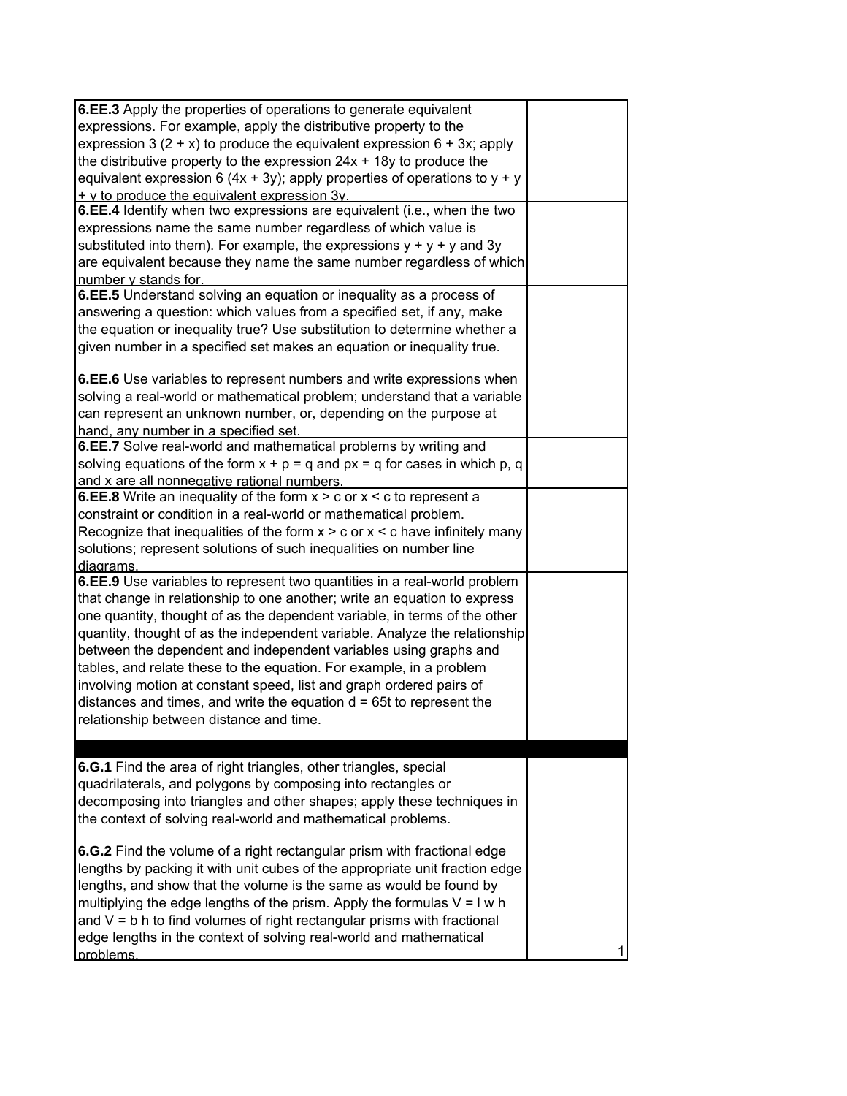| 6.EE.3 Apply the properties of operations to generate equivalent<br>expressions. For example, apply the distributive property to the<br>expression 3 $(2 + x)$ to produce the equivalent expression 6 + 3x; apply<br>the distributive property to the expression $24x + 18y$ to produce the<br>equivalent expression 6 (4x + 3y); apply properties of operations to $y + y$<br>$+$ y to produce the equivalent expression 3y.<br>6.EE.4 Identify when two expressions are equivalent (i.e., when the two<br>expressions name the same number regardless of which value is<br>substituted into them). For example, the expressions $y + y + y$ and 3y<br>are equivalent because they name the same number regardless of which<br>number y stands for.<br>6.EE.5 Understand solving an equation or inequality as a process of<br>answering a question: which values from a specified set, if any, make<br>the equation or inequality true? Use substitution to determine whether a |   |
|----------------------------------------------------------------------------------------------------------------------------------------------------------------------------------------------------------------------------------------------------------------------------------------------------------------------------------------------------------------------------------------------------------------------------------------------------------------------------------------------------------------------------------------------------------------------------------------------------------------------------------------------------------------------------------------------------------------------------------------------------------------------------------------------------------------------------------------------------------------------------------------------------------------------------------------------------------------------------------|---|
| given number in a specified set makes an equation or inequality true.<br>6.EE.6 Use variables to represent numbers and write expressions when<br>solving a real-world or mathematical problem; understand that a variable<br>can represent an unknown number, or, depending on the purpose at                                                                                                                                                                                                                                                                                                                                                                                                                                                                                                                                                                                                                                                                                    |   |
| hand, any number in a specified set.<br>6.EE.7 Solve real-world and mathematical problems by writing and<br>solving equations of the form $x + p = q$ and $px = q$ for cases in which p, q<br>and x are all nonnegative rational numbers.                                                                                                                                                                                                                                                                                                                                                                                                                                                                                                                                                                                                                                                                                                                                        |   |
| <b>6.EE.8</b> Write an inequality of the form $x > c$ or $x < c$ to represent a<br>constraint or condition in a real-world or mathematical problem.<br>Recognize that inequalities of the form $x > c$ or $x < c$ have infinitely many<br>solutions; represent solutions of such inequalities on number line<br>diagrams.                                                                                                                                                                                                                                                                                                                                                                                                                                                                                                                                                                                                                                                        |   |
| 6.EE.9 Use variables to represent two quantities in a real-world problem<br>that change in relationship to one another; write an equation to express<br>one quantity, thought of as the dependent variable, in terms of the other<br>quantity, thought of as the independent variable. Analyze the relationship<br>between the dependent and independent variables using graphs and<br>tables, and relate these to the equation. For example, in a problem<br>involving motion at constant speed, list and graph ordered pairs of<br>distances and times, and write the equation d = 65t to represent the<br>relationship between distance and time.                                                                                                                                                                                                                                                                                                                             |   |
| 6.G.1 Find the area of right triangles, other triangles, special<br>quadrilaterals, and polygons by composing into rectangles or<br>decomposing into triangles and other shapes; apply these techniques in<br>the context of solving real-world and mathematical problems.                                                                                                                                                                                                                                                                                                                                                                                                                                                                                                                                                                                                                                                                                                       |   |
| 6.G.2 Find the volume of a right rectangular prism with fractional edge<br>lengths by packing it with unit cubes of the appropriate unit fraction edge<br>lengths, and show that the volume is the same as would be found by<br>multiplying the edge lengths of the prism. Apply the formulas $V = I w h$<br>and $V = b$ h to find volumes of right rectangular prisms with fractional<br>edge lengths in the context of solving real-world and mathematical<br>problems.                                                                                                                                                                                                                                                                                                                                                                                                                                                                                                        | 1 |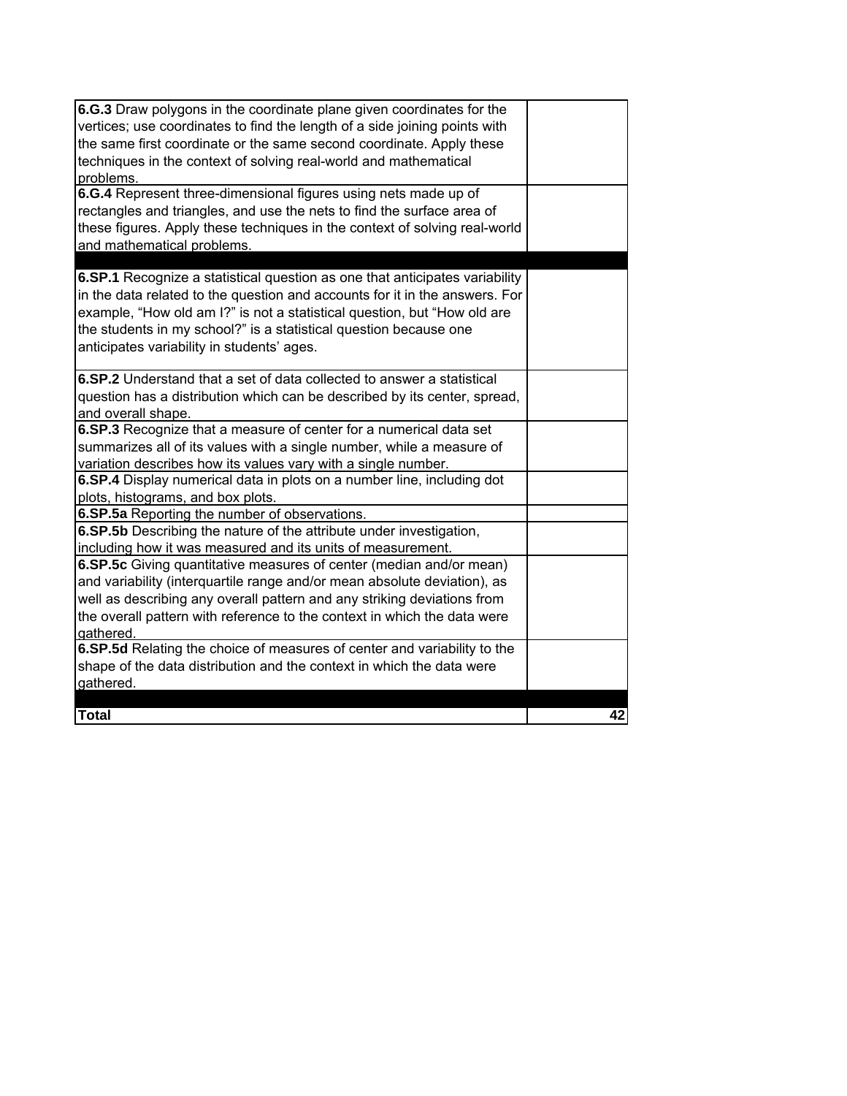| 6.G.3 Draw polygons in the coordinate plane given coordinates for the<br>vertices; use coordinates to find the length of a side joining points with<br>the same first coordinate or the same second coordinate. Apply these<br>techniques in the context of solving real-world and mathematical<br>problems.                                              |    |
|-----------------------------------------------------------------------------------------------------------------------------------------------------------------------------------------------------------------------------------------------------------------------------------------------------------------------------------------------------------|----|
| 6.G.4 Represent three-dimensional figures using nets made up of                                                                                                                                                                                                                                                                                           |    |
| rectangles and triangles, and use the nets to find the surface area of<br>these figures. Apply these techniques in the context of solving real-world<br>and mathematical problems.                                                                                                                                                                        |    |
|                                                                                                                                                                                                                                                                                                                                                           |    |
| 6.SP.1 Recognize a statistical question as one that anticipates variability<br>in the data related to the question and accounts for it in the answers. For<br>example, "How old am I?" is not a statistical question, but "How old are<br>the students in my school?" is a statistical question because one<br>anticipates variability in students' ages. |    |
| 6.SP.2 Understand that a set of data collected to answer a statistical                                                                                                                                                                                                                                                                                    |    |
| question has a distribution which can be described by its center, spread,<br>and overall shape.                                                                                                                                                                                                                                                           |    |
| 6.SP.3 Recognize that a measure of center for a numerical data set                                                                                                                                                                                                                                                                                        |    |
| summarizes all of its values with a single number, while a measure of<br>variation describes how its values vary with a single number.                                                                                                                                                                                                                    |    |
|                                                                                                                                                                                                                                                                                                                                                           |    |
| 6.SP.4 Display numerical data in plots on a number line, including dot<br>plots, histograms, and box plots.                                                                                                                                                                                                                                               |    |
| 6.SP.5a Reporting the number of observations.                                                                                                                                                                                                                                                                                                             |    |
| 6.SP.5b Describing the nature of the attribute under investigation,<br>including how it was measured and its units of measurement.                                                                                                                                                                                                                        |    |
| 6.SP.5c Giving quantitative measures of center (median and/or mean)                                                                                                                                                                                                                                                                                       |    |
| and variability (interquartile range and/or mean absolute deviation), as                                                                                                                                                                                                                                                                                  |    |
| well as describing any overall pattern and any striking deviations from                                                                                                                                                                                                                                                                                   |    |
| the overall pattern with reference to the context in which the data were                                                                                                                                                                                                                                                                                  |    |
| gathered.                                                                                                                                                                                                                                                                                                                                                 |    |
| 6.SP.5d Relating the choice of measures of center and variability to the                                                                                                                                                                                                                                                                                  |    |
| shape of the data distribution and the context in which the data were<br>gathered.                                                                                                                                                                                                                                                                        |    |
|                                                                                                                                                                                                                                                                                                                                                           |    |
| <b>Total</b>                                                                                                                                                                                                                                                                                                                                              | 42 |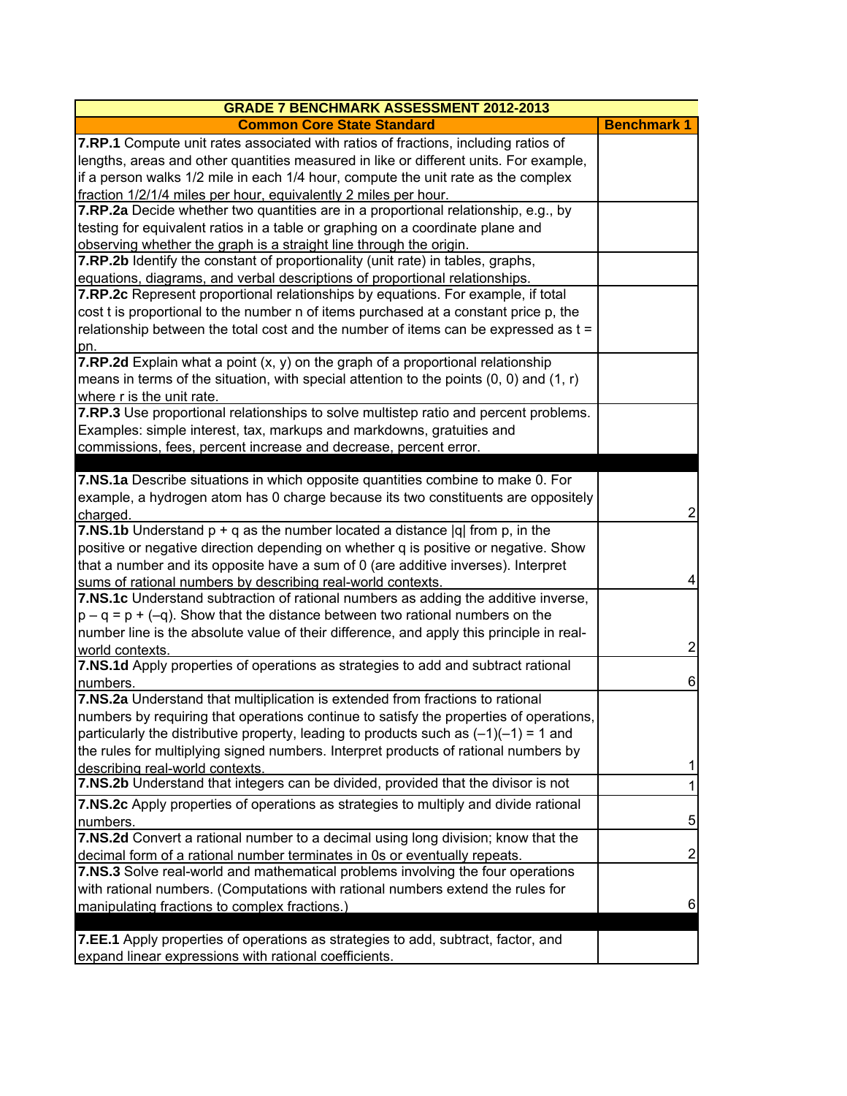| <b>GRADE 7 BENCHMARK ASSESSMENT 2012-2013</b>                                               |                         |
|---------------------------------------------------------------------------------------------|-------------------------|
| <b>Common Core State Standard</b>                                                           | <b>Benchmark 1</b>      |
| <b>7.RP.1</b> Compute unit rates associated with ratios of fractions, including ratios of   |                         |
| lengths, areas and other quantities measured in like or different units. For example,       |                         |
| if a person walks 1/2 mile in each 1/4 hour, compute the unit rate as the complex           |                         |
| fraction 1/2/1/4 miles per hour, equivalently 2 miles per hour.                             |                         |
| 7.RP.2a Decide whether two quantities are in a proportional relationship, e.g., by          |                         |
| testing for equivalent ratios in a table or graphing on a coordinate plane and              |                         |
| observing whether the graph is a straight line through the origin.                          |                         |
| 7.RP.2b Identify the constant of proportionality (unit rate) in tables, graphs,             |                         |
| equations, diagrams, and verbal descriptions of proportional relationships.                 |                         |
| 7.RP.2c Represent proportional relationships by equations. For example, if total            |                         |
| cost t is proportional to the number n of items purchased at a constant price p, the        |                         |
| relationship between the total cost and the number of items can be expressed as t =         |                         |
| pn.                                                                                         |                         |
| <b>7.RP.2d</b> Explain what a point $(x, y)$ on the graph of a proportional relationship    |                         |
| means in terms of the situation, with special attention to the points $(0, 0)$ and $(1, r)$ |                         |
| where r is the unit rate.                                                                   |                         |
| 7.RP.3 Use proportional relationships to solve multistep ratio and percent problems.        |                         |
| Examples: simple interest, tax, markups and markdowns, gratuities and                       |                         |
| commissions, fees, percent increase and decrease, percent error.                            |                         |
|                                                                                             |                         |
| 7.NS.1a Describe situations in which opposite quantities combine to make 0. For             |                         |
| example, a hydrogen atom has 0 charge because its two constituents are oppositely           |                         |
| charged.                                                                                    | $\overline{\mathbf{c}}$ |
| <b>7.NS.1b</b> Understand $p + q$ as the number located a distance $ q $ from p, in the     |                         |
| positive or negative direction depending on whether q is positive or negative. Show         |                         |
| that a number and its opposite have a sum of 0 (are additive inverses). Interpret           |                         |
| sums of rational numbers by describing real-world contexts.                                 | $\overline{\mathbf{4}}$ |
| 7.NS.1c Understand subtraction of rational numbers as adding the additive inverse,          |                         |
| $p - q = p + (-q)$ . Show that the distance between two rational numbers on the             |                         |
| number line is the absolute value of their difference, and apply this principle in real-    |                         |
| world contexts.                                                                             | $\mathbf 2$             |
| 7.NS.1d Apply properties of operations as strategies to add and subtract rational           |                         |
| numbers.                                                                                    | $\,6$                   |
| 7.NS.2a Understand that multiplication is extended from fractions to rational               |                         |
| numbers by requiring that operations continue to satisfy the properties of operations.      |                         |
| particularly the distributive property, leading to products such as $(-1)(-1) = 1$ and      |                         |
| the rules for multiplying signed numbers. Interpret products of rational numbers by         |                         |
| describing real-world contexts.                                                             | 1                       |
| 7.NS.2b Understand that integers can be divided, provided that the divisor is not           | 1                       |
| 7.NS.2c Apply properties of operations as strategies to multiply and divide rational        |                         |
| numbers.                                                                                    | 5                       |
| 7.NS.2d Convert a rational number to a decimal using long division; know that the           |                         |
| decimal form of a rational number terminates in 0s or eventually repeats.                   | $\boldsymbol{2}$        |
| 7.NS.3 Solve real-world and mathematical problems involving the four operations             |                         |
| with rational numbers. (Computations with rational numbers extend the rules for             |                         |
| manipulating fractions to complex fractions.)                                               | 6                       |
|                                                                                             |                         |
| 7.EE.1 Apply properties of operations as strategies to add, subtract, factor, and           |                         |
| expand linear expressions with rational coefficients.                                       |                         |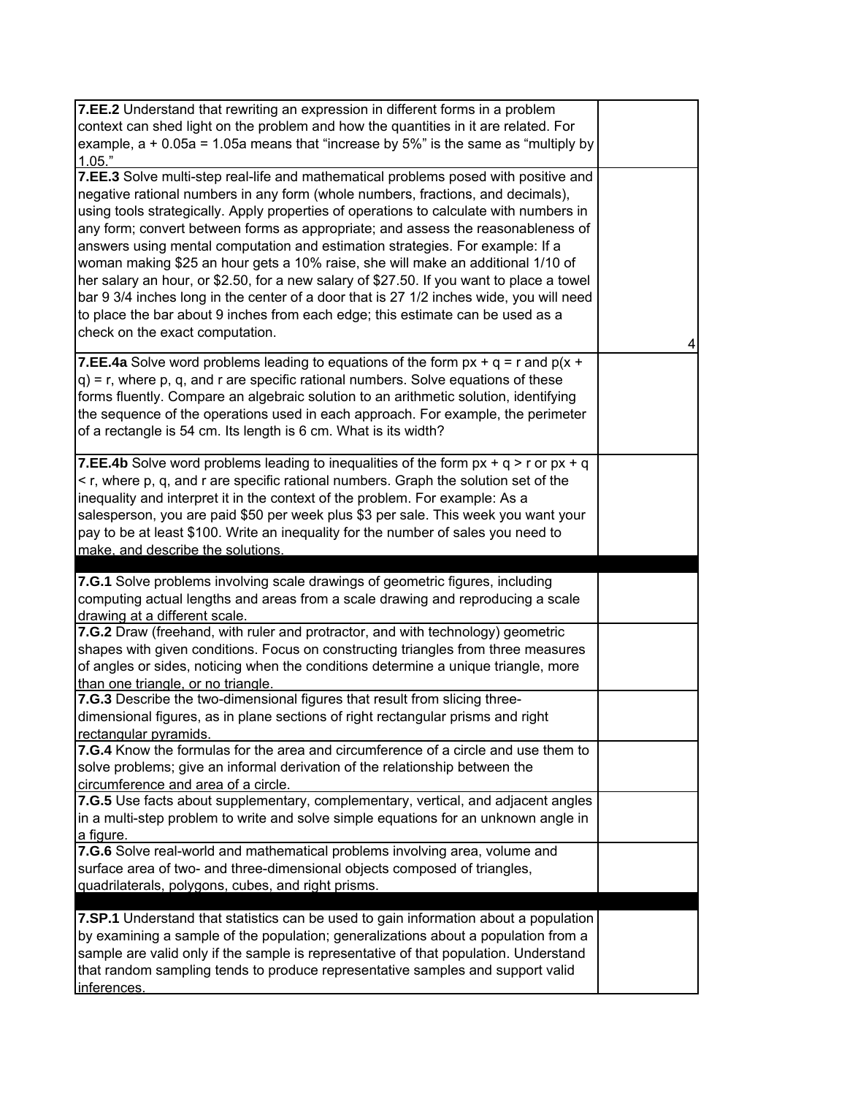| 7.EE.2 Understand that rewriting an expression in different forms in a problem<br>context can shed light on the problem and how the quantities in it are related. For<br>example, $a + 0.05a = 1.05a$ means that "increase by 5%" is the same as "multiply by<br>1.05."                                                                                                                                                                                                                                                                                                                                                                                                                                                                                                                                                              |   |
|--------------------------------------------------------------------------------------------------------------------------------------------------------------------------------------------------------------------------------------------------------------------------------------------------------------------------------------------------------------------------------------------------------------------------------------------------------------------------------------------------------------------------------------------------------------------------------------------------------------------------------------------------------------------------------------------------------------------------------------------------------------------------------------------------------------------------------------|---|
| 7.EE.3 Solve multi-step real-life and mathematical problems posed with positive and<br>negative rational numbers in any form (whole numbers, fractions, and decimals),<br>using tools strategically. Apply properties of operations to calculate with numbers in<br>any form; convert between forms as appropriate; and assess the reasonableness of<br>answers using mental computation and estimation strategies. For example: If a<br>woman making \$25 an hour gets a 10% raise, she will make an additional 1/10 of<br>her salary an hour, or \$2.50, for a new salary of \$27.50. If you want to place a towel<br>bar 9 3/4 inches long in the center of a door that is 27 1/2 inches wide, you will need<br>to place the bar about 9 inches from each edge; this estimate can be used as a<br>check on the exact computation. | 4 |
| 7.EE.4a Solve word problems leading to equations of the form $px + q = r$ and $p(x +$<br>$q$ ) = r, where p, q, and r are specific rational numbers. Solve equations of these<br>forms fluently. Compare an algebraic solution to an arithmetic solution, identifying<br>the sequence of the operations used in each approach. For example, the perimeter<br>of a rectangle is 54 cm. Its length is 6 cm. What is its width?                                                                                                                                                                                                                                                                                                                                                                                                         |   |
| <b>7.EE.4b</b> Solve word problems leading to inequalities of the form $px + q > r$ or $px + q$<br>< r, where p, q, and r are specific rational numbers. Graph the solution set of the<br>inequality and interpret it in the context of the problem. For example: As a<br>salesperson, you are paid \$50 per week plus \$3 per sale. This week you want your<br>pay to be at least \$100. Write an inequality for the number of sales you need to<br>make, and describe the solutions.                                                                                                                                                                                                                                                                                                                                               |   |
| 7.G.1 Solve problems involving scale drawings of geometric figures, including<br>computing actual lengths and areas from a scale drawing and reproducing a scale<br>drawing at a different scale.                                                                                                                                                                                                                                                                                                                                                                                                                                                                                                                                                                                                                                    |   |
|                                                                                                                                                                                                                                                                                                                                                                                                                                                                                                                                                                                                                                                                                                                                                                                                                                      |   |
| 7.G.2 Draw (freehand, with ruler and protractor, and with technology) geometric<br>shapes with given conditions. Focus on constructing triangles from three measures<br>of angles or sides, noticing when the conditions determine a unique triangle, more<br>than one triangle, or no triangle.                                                                                                                                                                                                                                                                                                                                                                                                                                                                                                                                     |   |
| 7.G.3 Describe the two-dimensional figures that result from slicing three-<br>dimensional figures, as in plane sections of right rectangular prisms and right<br>rectangular pyramids.                                                                                                                                                                                                                                                                                                                                                                                                                                                                                                                                                                                                                                               |   |
| 7.G.4 Know the formulas for the area and circumference of a circle and use them to<br>solve problems; give an informal derivation of the relationship between the<br>circumference and area of a circle.                                                                                                                                                                                                                                                                                                                                                                                                                                                                                                                                                                                                                             |   |
| 7.G.5 Use facts about supplementary, complementary, vertical, and adjacent angles<br>in a multi-step problem to write and solve simple equations for an unknown angle in<br>a figure.                                                                                                                                                                                                                                                                                                                                                                                                                                                                                                                                                                                                                                                |   |
| 7.G.6 Solve real-world and mathematical problems involving area, volume and<br>surface area of two- and three-dimensional objects composed of triangles,<br>quadrilaterals, polygons, cubes, and right prisms.                                                                                                                                                                                                                                                                                                                                                                                                                                                                                                                                                                                                                       |   |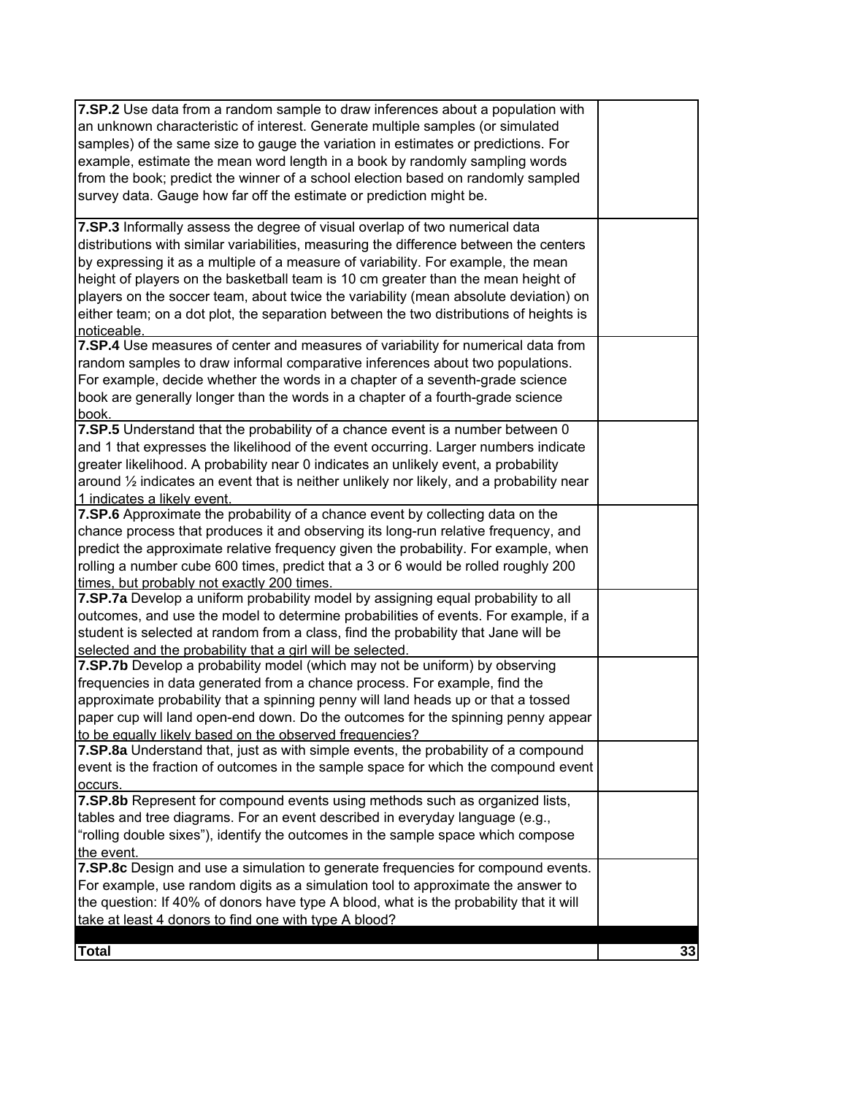| 7.SP.2 Use data from a random sample to draw inferences about a population with<br>an unknown characteristic of interest. Generate multiple samples (or simulated<br>samples) of the same size to gauge the variation in estimates or predictions. For<br>example, estimate the mean word length in a book by randomly sampling words<br>from the book; predict the winner of a school election based on randomly sampled<br>survey data. Gauge how far off the estimate or prediction might be.                                                 |    |
|--------------------------------------------------------------------------------------------------------------------------------------------------------------------------------------------------------------------------------------------------------------------------------------------------------------------------------------------------------------------------------------------------------------------------------------------------------------------------------------------------------------------------------------------------|----|
| 7.SP.3 Informally assess the degree of visual overlap of two numerical data<br>distributions with similar variabilities, measuring the difference between the centers<br>by expressing it as a multiple of a measure of variability. For example, the mean<br>height of players on the basketball team is 10 cm greater than the mean height of<br>players on the soccer team, about twice the variability (mean absolute deviation) on<br>either team; on a dot plot, the separation between the two distributions of heights is<br>noticeable. |    |
| 7.SP.4 Use measures of center and measures of variability for numerical data from<br>random samples to draw informal comparative inferences about two populations.<br>For example, decide whether the words in a chapter of a seventh-grade science<br>book are generally longer than the words in a chapter of a fourth-grade science<br>book.                                                                                                                                                                                                  |    |
| 7.SP.5 Understand that the probability of a chance event is a number between 0<br>and 1 that expresses the likelihood of the event occurring. Larger numbers indicate<br>greater likelihood. A probability near 0 indicates an unlikely event, a probability<br>around $\frac{1}{2}$ indicates an event that is neither unlikely nor likely, and a probability near<br>1 indicates a likely event.                                                                                                                                               |    |
| 7.SP.6 Approximate the probability of a chance event by collecting data on the<br>chance process that produces it and observing its long-run relative frequency, and<br>predict the approximate relative frequency given the probability. For example, when<br>rolling a number cube 600 times, predict that a 3 or 6 would be rolled roughly 200<br>times, but probably not exactly 200 times.                                                                                                                                                  |    |
| 7.SP.7a Develop a uniform probability model by assigning equal probability to all<br>outcomes, and use the model to determine probabilities of events. For example, if a<br>student is selected at random from a class, find the probability that Jane will be<br>selected and the probability that a girl will be selected.                                                                                                                                                                                                                     |    |
| 7.SP.7b Develop a probability model (which may not be uniform) by observing<br>frequencies in data generated from a chance process. For example, find the<br>approximate probability that a spinning penny will land heads up or that a tossed<br>paper cup will land open-end down. Do the outcomes for the spinning penny appear<br>to be equally likely based on the observed frequencies?                                                                                                                                                    |    |
| 7.SP.8a Understand that, just as with simple events, the probability of a compound<br>event is the fraction of outcomes in the sample space for which the compound event<br>occurs.                                                                                                                                                                                                                                                                                                                                                              |    |
| 7.SP.8b Represent for compound events using methods such as organized lists,<br>tables and tree diagrams. For an event described in everyday language (e.g.,<br>"rolling double sixes"), identify the outcomes in the sample space which compose<br>the event.                                                                                                                                                                                                                                                                                   |    |
| 7.SP.8c Design and use a simulation to generate frequencies for compound events.<br>For example, use random digits as a simulation tool to approximate the answer to<br>the question: If 40% of donors have type A blood, what is the probability that it will<br>take at least 4 donors to find one with type A blood?                                                                                                                                                                                                                          |    |
| Total                                                                                                                                                                                                                                                                                                                                                                                                                                                                                                                                            | 33 |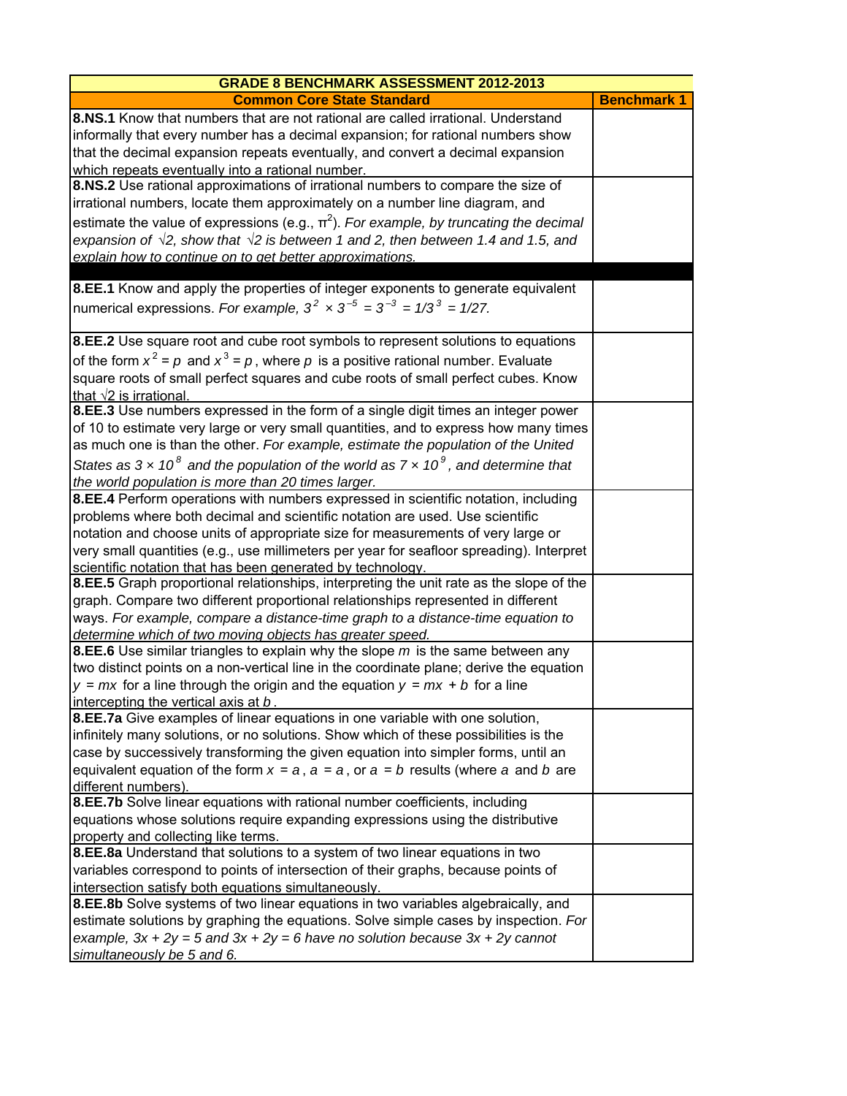| <b>GRADE 8 BENCHMARK ASSESSMENT 2012-2013</b>                                                                                                                                                                                                                                                                                                                                                                                     |                    |
|-----------------------------------------------------------------------------------------------------------------------------------------------------------------------------------------------------------------------------------------------------------------------------------------------------------------------------------------------------------------------------------------------------------------------------------|--------------------|
| <b>Common Core State Standard</b>                                                                                                                                                                                                                                                                                                                                                                                                 | <b>Benchmark 1</b> |
| 8.NS.1 Know that numbers that are not rational are called irrational. Understand<br>informally that every number has a decimal expansion; for rational numbers show<br>that the decimal expansion repeats eventually, and convert a decimal expansion<br>which repeats eventually into a rational number.                                                                                                                         |                    |
| 8.NS.2 Use rational approximations of irrational numbers to compare the size of<br>irrational numbers, locate them approximately on a number line diagram, and                                                                                                                                                                                                                                                                    |                    |
| estimate the value of expressions (e.g., $\pi^2$ ). For example, by truncating the decimal<br>expansion of $\sqrt{2}$ , show that $\sqrt{2}$ is between 1 and 2, then between 1.4 and 1.5, and<br>explain how to continue on to get better approximations.                                                                                                                                                                        |                    |
| 8.EE.1 Know and apply the properties of integer exponents to generate equivalent<br>numerical expressions. For example, $3^2 \times 3^{-5} = 3^{-3} = 1/3^3 = 1/27$ .                                                                                                                                                                                                                                                             |                    |
| 8.EE.2 Use square root and cube root symbols to represent solutions to equations<br>of the form $x^2 = p$ and $x^3 = p$ , where p is a positive rational number. Evaluate<br>square roots of small perfect squares and cube roots of small perfect cubes. Know<br>that $\sqrt{2}$ is irrational.                                                                                                                                  |                    |
| 8.EE.3 Use numbers expressed in the form of a single digit times an integer power<br>of 10 to estimate very large or very small quantities, and to express how many times<br>as much one is than the other. For example, estimate the population of the United<br>States as 3 x 10 <sup>8</sup> and the population of the world as 7 x 10 <sup>9</sup> , and determine that<br>the world population is more than 20 times larger. |                    |
| 8.EE.4 Perform operations with numbers expressed in scientific notation, including<br>problems where both decimal and scientific notation are used. Use scientific<br>notation and choose units of appropriate size for measurements of very large or<br>very small quantities (e.g., use millimeters per year for seafloor spreading). Interpret<br>scientific notation that has been generated by technology.                   |                    |
| 8.EE.5 Graph proportional relationships, interpreting the unit rate as the slope of the<br>graph. Compare two different proportional relationships represented in different<br>ways. For example, compare a distance-time graph to a distance-time equation to<br>determine which of two moving objects has greater speed.                                                                                                        |                    |
| <b>8.EE.6</b> Use similar triangles to explain why the slope $m$ is the same between any<br>two distinct points on a non-vertical line in the coordinate plane; derive the equation<br>$y = mx$ for a line through the origin and the equation $y = mx + b$ for a line<br>intercepting the vertical axis at b.                                                                                                                    |                    |
| 8.EE.7a Give examples of linear equations in one variable with one solution,<br>infinitely many solutions, or no solutions. Show which of these possibilities is the<br>case by successively transforming the given equation into simpler forms, until an<br>equivalent equation of the form $x = a$ , $a = a$ , or $a = b$ results (where a and b are<br>different numbers).                                                     |                    |
| 8.EE.7b Solve linear equations with rational number coefficients, including<br>equations whose solutions require expanding expressions using the distributive<br>property and collecting like terms.                                                                                                                                                                                                                              |                    |
| 8.EE.8a Understand that solutions to a system of two linear equations in two<br>variables correspond to points of intersection of their graphs, because points of<br>intersection satisfy both equations simultaneously.                                                                                                                                                                                                          |                    |
| 8.EE.8b Solve systems of two linear equations in two variables algebraically, and<br>estimate solutions by graphing the equations. Solve simple cases by inspection. For<br>example, $3x + 2y = 5$ and $3x + 2y = 6$ have no solution because $3x + 2y$ cannot<br>simultaneously be 5 and 6.                                                                                                                                      |                    |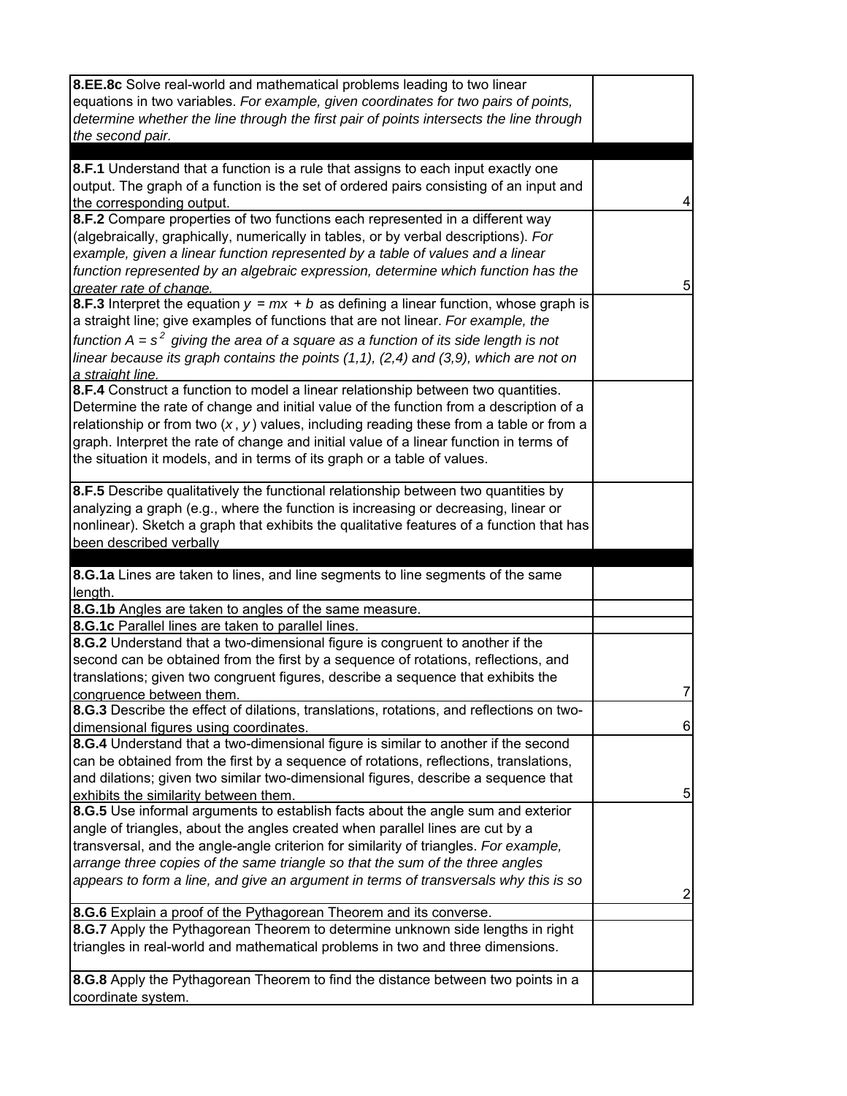| 8.EE.8c Solve real-world and mathematical problems leading to two linear                               |                |
|--------------------------------------------------------------------------------------------------------|----------------|
| equations in two variables. For example, given coordinates for two pairs of points,                    |                |
| determine whether the line through the first pair of points intersects the line through                |                |
| the second pair.                                                                                       |                |
| 8.F.1 Understand that a function is a rule that assigns to each input exactly one                      |                |
| output. The graph of a function is the set of ordered pairs consisting of an input and                 |                |
| the corresponding output.                                                                              | 4              |
| 8.F.2 Compare properties of two functions each represented in a different way                          |                |
| (algebraically, graphically, numerically in tables, or by verbal descriptions). For                    |                |
| example, given a linear function represented by a table of values and a linear                         |                |
| function represented by an algebraic expression, determine which function has the                      |                |
| greater rate of change.                                                                                | 5              |
| 8.F.3 Interpret the equation $y = mx + b$ as defining a linear function, whose graph is                |                |
| a straight line; give examples of functions that are not linear. For example, the                      |                |
| function $A = s^2$ giving the area of a square as a function of its side length is not                 |                |
| linear because its graph contains the points $(1,1)$ , $(2,4)$ and $(3,9)$ , which are not on          |                |
| a straight line.                                                                                       |                |
| 8.F.4 Construct a function to model a linear relationship between two quantities.                      |                |
| Determine the rate of change and initial value of the function from a description of a                 |                |
| relationship or from two $(x, y)$ values, including reading these from a table or from a               |                |
| graph. Interpret the rate of change and initial value of a linear function in terms of                 |                |
| the situation it models, and in terms of its graph or a table of values.                               |                |
| 8.F.5 Describe qualitatively the functional relationship between two quantities by                     |                |
| analyzing a graph (e.g., where the function is increasing or decreasing, linear or                     |                |
| nonlinear). Sketch a graph that exhibits the qualitative features of a function that has               |                |
| been described verbally                                                                                |                |
|                                                                                                        |                |
|                                                                                                        |                |
| 8.G.1a Lines are taken to lines, and line segments to line segments of the same                        |                |
| length.                                                                                                |                |
| 8.G.1b Angles are taken to angles of the same measure.                                                 |                |
| 8.G.1c Parallel lines are taken to parallel lines.                                                     |                |
| 8.G.2 Understand that a two-dimensional figure is congruent to another if the                          |                |
| second can be obtained from the first by a sequence of rotations, reflections, and                     |                |
| translations; given two congruent figures, describe a sequence that exhibits the                       |                |
| congruence between them.                                                                               | $\overline{7}$ |
| 8.G.3 Describe the effect of dilations, translations, rotations, and reflections on two-               |                |
| dimensional figures using coordinates.                                                                 | 6              |
| 8.G.4 Understand that a two-dimensional figure is similar to another if the second                     |                |
| can be obtained from the first by a sequence of rotations, reflections, translations,                  |                |
| and dilations; given two similar two-dimensional figures, describe a sequence that                     |                |
| exhibits the similarity between them.                                                                  | 5              |
| 8.G.5 Use informal arguments to establish facts about the angle sum and exterior                       |                |
| angle of triangles, about the angles created when parallel lines are cut by a                          |                |
| transversal, and the angle-angle criterion for similarity of triangles. For example,                   |                |
| arrange three copies of the same triangle so that the sum of the three angles                          |                |
| appears to form a line, and give an argument in terms of transversals why this is so                   | 2              |
| <b>8.G.6</b> Explain a proof of the Pythagorean Theorem and its converse.                              |                |
| 8.G.7 Apply the Pythagorean Theorem to determine unknown side lengths in right                         |                |
| triangles in real-world and mathematical problems in two and three dimensions.                         |                |
|                                                                                                        |                |
| 8.G.8 Apply the Pythagorean Theorem to find the distance between two points in a<br>coordinate system. |                |